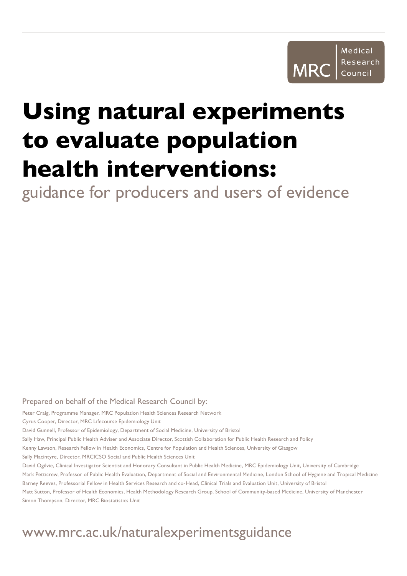

# **Using natural experiments to evaluate population health interventions:**

guidance for producers and users of evidence

#### Prepared on behalf of the Medical Research Council by:

Peter Craig, Programme Manager, MRC Population Health Sciences Research Network

Cyrus Cooper, Director, MRC Lifecourse Epidemiology Unit

David Gunnell, Professor of Epidemiology, Department of Social Medicine, University of Bristol

Sally Haw, Principal Public Health Adviser and Associate Director, Scottish Collaboration for Public Health Research and Policy

Kenny Lawson, Research Fellow in Health Economics, Centre for Population and Health Sciences, University of Glasgow

Sally Macintyre, Director, MRClCSO Social and Public Health Sciences Unit

David Ogilvie, Clinical Investigator Scientist and Honorary Consultant in Public Health Medicine, MRC Epidemiology Unit, University of Cambridge Mark Petticrew, Professor of Public Health Evaluation, Department of Social and Environmental Medicine, London School of Hygiene and Tropical Medicine Barney Reeves, Professorial Fellow in Health Services Research and co-Head, Clinical Trials and Evaluation Unit, University of Bristol Matt Sutton, Professor of Health Economics, Health Methodology Research Group, School of Community-based Medicine, University of Manchester Simon Thompson, Director, MRC Biostatistics Unit

# [www.mrc.ac.uk/naturalexperimentsguidance](http://www.mrc.ac.uk/naturalexperimentsguidance)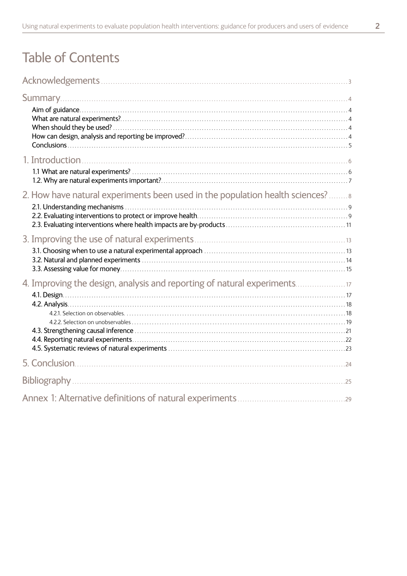# **Table of Contents**

| 2. How have natural experiments been used in the population health sciences? |  |
|------------------------------------------------------------------------------|--|
|                                                                              |  |
| 4. Improving the design, analysis and reporting of natural experiments       |  |
|                                                                              |  |
|                                                                              |  |
|                                                                              |  |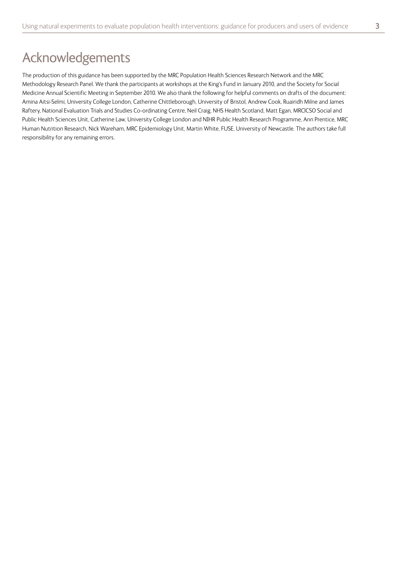# <span id="page-2-0"></span>Acknowledgements

The production of this guidance has been supported by the MRC Population Health Sciences Research Network and the MRC Methodology Research Panel. We thank the participants at workshops at the King's Fund in January 2010, and the Society for Social Medicine Annual Scientific Meeting in September 2010. We also thank the following for helpful comments on drafts of the document: Amina Aitsi-Selmi, University College London, Catherine Chittleborough, University of Bristol, Andrew Cook, Ruairidh Milne and James Raftery, National Evaluation Trials and Studies Co-ordinating Centre, Neil Craig, NHS Health Scotland, Matt Egan, MRC|CSO Social and Public Health Sciences Unit, Catherine Law, University College London and NIHR Public Health Research Programme, Ann Prentice, MRC Human Nutrition Research, Nick Wareham, MRC Epidemiology Unit, Martin White, FUSE, University of Newcastle. The authors take full responsibility for any remaining errors.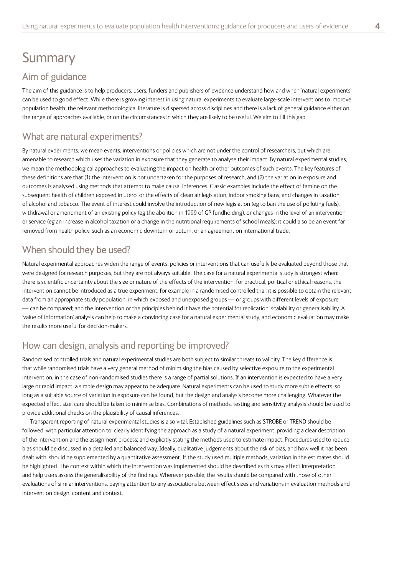# <span id="page-3-0"></span>**Summary**

#### Aim of guidance

The aim of this guidance is to help producers, users, funders and publishers of evidence understand how and when 'natural experiments' can be used to good effect. While there is growing interest in using natural experiments to evaluate large-scale interventions to improve population health, the relevant methodological literature is dispersed across disciplines and there is a lack of general guidance either on the range of approaches available, or on the circumstances in which they are likely to be useful. We aim to fill this gap.

#### What are natural experiments?

By natural experiments, we mean events, interventions or policies which are not under the control of researchers, but which are amenable to research which uses the variation in exposure that they generate to analyse their impact. By natural experimental studies, we mean the methodological approaches to evaluating the impact on health or other outcomes of such events. The key features of these definitions are that (1) the intervention is not undertaken for the purposes of research, and (2) the variation in exposure and outcomes is analysed using methods that attempt to make causal inferences. Classic examples include the effect of famine on the subsequent health of children exposed in utero, or the effects of clean air legislation, indoor smoking bans, and changes in taxation of alcohol and tobacco. The event of interest could involve the introduction of new legislation (eg to ban the use of polluting fuels), withdrawal or amendment of an existing policy (eg the abolition in 1999 of GP fundholding), or changes in the level of an intervention or service (eg an increase in alcohol taxation or a change in the nutritional requirements of school meals); it could also be an event far removed from health policy, such as an economic downturn or upturn, or an agreement on international trade.

#### When should they be used?

Natural experimental approaches widen the range of events, policies or interventions that can usefully be evaluated beyond those that were designed for research purposes, but they are not always suitable. The case for a natural experimental study is strongest when: there is scientific uncertainty about the size or nature of the effects of the intervention; for practical, political or ethical reasons, the intervention cannot be introduced as a true experiment, for example in a randomised controlled trial; it is possible to obtain the relevant data from an appropriate study population, in which exposed and unexposed groups — or groups with different levels of exposure — can be compared; and the intervention or the principles behind it have the potential for replication, scalability or generalisability. A 'value of information' analysis can help to make a convincing case for a natural experimental study, and economic evaluation may make the results more useful for decision-makers.

#### How can design, analysis and reporting be improved?

Randomised controlled trials and natural experimental studies are both subject to similar threats to validity. The key difference is that while randomised trials have a very general method of minimising the bias caused by selective exposure to the experimental intervention, in the case of non-randomised studies there is a range of partial solutions. If an intervention is expected to have a very large or rapid impact, a simple design may appear to be adequate. Natural experiments can be used to study more subtle effects, so long as a suitable source of variation in exposure can be found, but the design and analysis become more challenging. Whatever the expected effect size, care should be taken to minimise bias. Combinations of methods, testing and sensitivity analysis should be used to provide additional checks on the plausibility of causal inferences.

Transparent reporting of natural experimental studies is also vital. Established guidelines such as STROBE or TREND should be followed, with particular attention to: clearly identifying the approach as a study of a natural experiment; providing a clear description of the intervention and the assignment process; and explicitly stating the methods used to estimate impact. Procedures used to reduce bias should be discussed in a detailed and balanced way. Ideally, qualitative judgements about the risk of bias, and how well it has been dealt with, should be supplemented by a quantitative assessment. If the study used multiple methods, variation in the estimates should be highlighted. The context within which the intervention was implemented should be described as this may affect interpretation and help users assess the generalisability of the findings. Wherever possible, the results should be compared with those of other evaluations of similar interventions, paying attention to any associations between effect sizes and variations in evaluation methods and intervention design, content and context.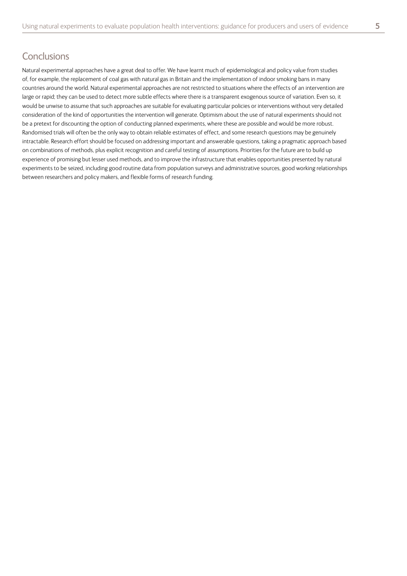#### <span id="page-4-0"></span>**Conclusions**

Natural experimental approaches have a great deal to offer. We have learnt much of epidemiological and policy value from studies of, for example, the replacement of coal gas with natural gas in Britain and the implementation of indoor smoking bans in many countries around the world. Natural experimental approaches are not restricted to situations where the effects of an intervention are large or rapid; they can be used to detect more subtle effects where there is a transparent exogenous source of variation. Even so, it would be unwise to assume that such approaches are suitable for evaluating particular policies or interventions without very detailed consideration of the kind of opportunities the intervention will generate. Optimism about the use of natural experiments should not be a pretext for discounting the option of conducting planned experiments, where these are possible and would be more robust. Randomised trials will often be the only way to obtain reliable estimates of effect, and some research questions may be genuinely intractable. Research effort should be focused on addressing important and answerable questions, taking a pragmatic approach based on combinations of methods, plus explicit recognition and careful testing of assumptions. Priorities for the future are to build up experience of promising but lesser used methods, and to improve the infrastructure that enables opportunities presented by natural experiments to be seized, including good routine data from population surveys and administrative sources, good working relationships between researchers and policy makers, and flexible forms of research funding.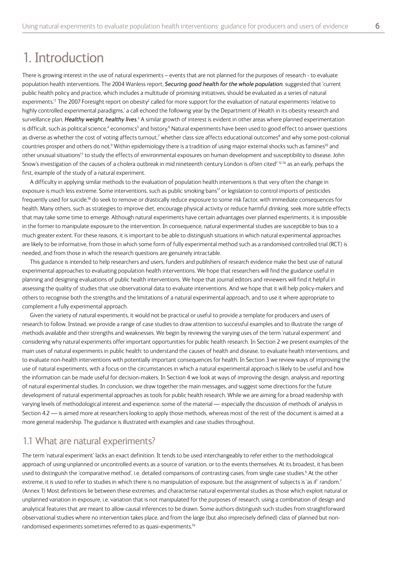## <span id="page-5-0"></span>1. Introduction

There is growing interest in the use of natural experiments – events that are not planned for the purposes of research - to evaluate population health interventions. The 2004 Wanless report, *Securing good health for the whole population*, suggested that 'current public health policy and practice, which includes a multitude of promising initiatives, should be evaluated as a series of natural experiments.<sup>1</sup> The 2007 Foresight report on obesity<sup>2</sup> called for more support for the evaluation of natural experiments 'relative to highly controlled experimental paradigms,' a call echoed the following year by the Department of Health in its obesity research and surveillance plan, Healthy weight, healthy lives.<sup>3</sup> A similar growth of interest is evident in other areas where planned experimentation is difficult, such as political science,<sup>4</sup> economics<sup>5</sup> and history.<sup>6</sup> Natural experiments have been used to good effect to answer questions as diverse as whether the cost of voting affects turnout,<sup>7</sup> whether class size affects educational outcomes<sup>8</sup> and why some post-colonial countries prosper and others do not.<sup>9</sup> Within epidemiology there is a tradition of using major external shocks such as famines<sup>10</sup> and other unusual situations<sup>11</sup> to study the effects of environmental exposures on human development and susceptibility to disease. John Snow's investigation of the causes of a cholera outbreak in mid nineteenth century London is often cited<sup>712-16</sup> as an early, perhaps the first, example of the study of a natural experiment.

A difficulty in applying similar methods to the evaluation of population health interventions is that very often the change in exposure is much less extreme. Some interventions, such as public smoking bans<sup>17</sup> or legislation to control imports of pesticides frequently used for suicide,18 do seek to remove or drastically reduce exposure to some risk factor, with immediate consequences for health. Many others, such as strategies to improve diet, encourage physical activity or reduce harmful drinking, seek more subtle effects that may take some time to emerge. Although natural experiments have certain advantages over planned experiments, it is impossible in the former to manipulate exposure to the intervention. In consequence, natural experimental studies are susceptible to bias to a much greater extent. For these reasons, it is important to be able to distinguish situations in which natural experimental approaches are likely to be informative, from those in which some form of fully experimental method such as a randomised controlled trial (RCT) is needed, and from those in which the research questions are genuinely intractable.

This guidance is intended to help researchers and users, funders and publishers of research evidence make the best use of natural experimental approaches to evaluating population health interventions. We hope that researchers will find the guidance useful in planning and designing evaluations of public health interventions. We hope that journal editors and reviewers will find it helpful in assessing the quality of studies that use observational data to evaluate interventions. And we hope that it will help policy-makers and others to recognise both the strengths and the limitations of a natural experimental approach, and to use it where appropriate to complement a fully experimental approach.

Given the variety of natural experiments, it would not be practical or useful to provide a template for producers and users of research to follow. Instead, we provide a range of case studies to draw attention to successful examples and to illustrate the range of methods available and their strengths and weaknesses. We begin by reviewing the varying uses of the term 'natural experiment' and considering why natural experiments offer important opportunities for public health research. In Section 2 we present examples of the main uses of natural experiments in public health: to understand the causes of health and disease, to evaluate health interventions, and to evaluate non-health interventions with potentially important consequences for health. In Section 3 we review ways of improving the use of natural experiments, with a focus on the circumstances in which a natural experimental approach is likely to be useful and how the information can be made useful for decision-makers. In Section 4 we look at ways of improving the design, analysis and reporting of natural experimental studies. In conclusion, we draw together the main messages, and suggest some directions for the future development of natural experimental approaches as tools for public health research. While we are aiming for a broad readership with varying levels of methodological interest and experience, some of the material — especially the discussion of methods of analysis in Section 4.2 — is aimed more at researchers looking to apply those methods, whereas most of the rest of the document is aimed at a more general readership. The guidance is illustrated with examples and case studies throughout.

#### 1.1 What are natural experiments?

The term 'natural experiment' lacks an exact definition. It tends to be used interchangeably to refer either to the methodological approach of using unplanned or uncontrolled events as a source of variation, or to the events themselves. At its broadest, it has been used to distinguish the 'comparative method', i.e. detailed comparisons of contrasting cases, from single case studies. 6 At the other extreme, it is used to refer to studies in which there is no manipulation of exposure, but the assignment of subjects is 'as if' random.<sup>7</sup> (Annex 1) Most definitions lie between these extremes, and characterise natural experimental studies as those which exploit natural or unplanned variation in exposure, i.e. variation that is not manipulated for the purposes of research, using a combination of design and analytical features that are meant to allow causal inferences to be drawn. Some authors distinguish such studies from straightforward observational studies where no intervention takes place, and from the large (but also imprecisely defined) class of planned but nonrandomised experiments sometimes referred to as quasi-experiments.<sup>19</sup>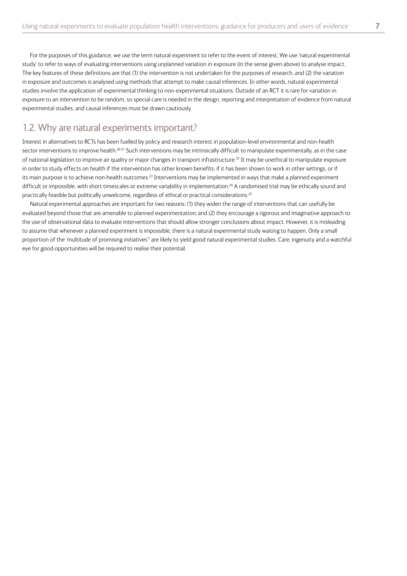<span id="page-6-0"></span>For the purposes of this guidance, we use the term natural experiment to refer to the event of interest. We use 'natural experimental study' to refer to ways of evaluating interventions using unplanned variation in exposure (in the sense given above) to analyse impact. The key features of these definitions are that (1) the intervention is not undertaken for the purposes of research, and (2) the variation in exposure and outcomes is analysed using methods that attempt to make causal inferences. In other words, natural experimental studies involve the application of experimental thinking to non-experimental situations. Outside of an RCT it is rare for variation in exposure to an intervention to be random, so special care is needed in the design, reporting and interpretation of evidence from natural experimental studies, and causal inferences must be drawn cautiously.

#### 1.2. Why are natural experiments important?

Interest in alternatives to RCTs has been fuelled by policy and research interest in population-level environmental and non-health sector interventions to improve health.<sup>2021</sup> Such interventions may be intrinsically difficult to manipulate experimentally, as in the case of national legislation to improve air quality or major changes in transport infrastructure.<sup>22</sup> It may be unethical to manipulate exposure in order to study effects on health if the intervention has other known benefits, if it has been shown to work in other settings, or if its main purpose is to achieve non-health outcomes.<sup>23</sup> Interventions may be implemented in ways that make a planned experiment difficult or impossible, with short timescales or extreme variability in implementation.<sup>24</sup> A randomised trial may be ethically sound and practically feasible but politically unwelcome, regardless of ethical or practical considerations.<sup>25</sup>

Natural experimental approaches are important for two reasons: (1) they widen the range of interventions that can usefully be evaluated beyond those that are amenable to planned experimentation; and (2) they encourage a rigorous and imaginative approach to the use of observational data to evaluate interventions that should allow stronger conclusions about impact. However, it is misleading to assume that whenever a planned experiment is impossible, there is a natural experimental study waiting to happen. Only a small proportion of the 'multitude of promising initiatives'<sup>1</sup> are likely to yield good natural experimental studies. Care, ingenuity and a watchful eye for good opportunities will be required to realise their potential.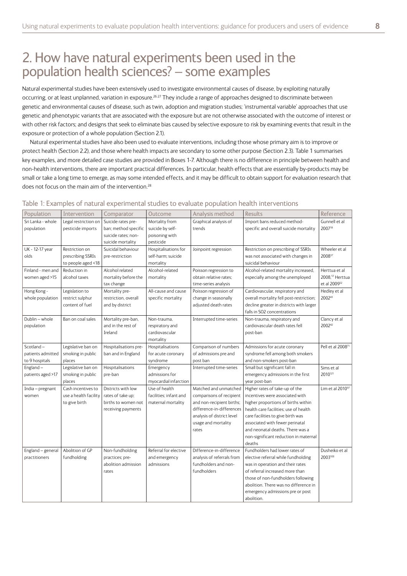# <span id="page-7-0"></span>2. How have natural experiments been used in the population health sciences? – some examples

Natural experimental studies have been extensively used to investigate environmental causes of disease, by exploiting naturally occurring, or at least unplanned, variation in exposure.<sup>2627</sup> They include a range of approaches designed to discriminate between genetic and environmental causes of disease, such as twin, adoption and migration studies; 'instrumental variable' approaches that use genetic and phenotypic variants that are associated with the exposure but are not otherwise associated with the outcome of interest or with other risk factors; and designs that seek to eliminate bias caused by selective exposure to risk by examining events that result in the exposure or protection of a whole population (Section 2.1).

Natural experimental studies have also been used to evaluate interventions, including those whose primary aim is to improve or protect health (Section 2.2), and those where health impacts are secondary to some other purpose (Section 2.3). Table 1 summarises key examples, and more detailed case studies are provided in Boxes 1-7. Although there is no difference in principle between health and non-health interventions, there are important practical differences. In particular, health effects that are essentially by-products may be small or take a long time to emerge, as may some intended effects, and it may be difficult to obtain support for evaluation research that does not focus on the main aim of the intervention.<sup>28</sup>

| Population                                       | Intervention                                                 | Comparator                                                                             | Outcome                                                           | Analysis method                                                                                                                                                           | Results                                                                                                                                                                                                                                                                                                          | Reference                                                                |
|--------------------------------------------------|--------------------------------------------------------------|----------------------------------------------------------------------------------------|-------------------------------------------------------------------|---------------------------------------------------------------------------------------------------------------------------------------------------------------------------|------------------------------------------------------------------------------------------------------------------------------------------------------------------------------------------------------------------------------------------------------------------------------------------------------------------|--------------------------------------------------------------------------|
| Sri Lanka - whole<br>population                  | Legal restriction on<br>pesticide imports                    | Suicide rates pre-<br>ban; method specific<br>suicide rates; non-<br>suicide mortality | Mortality from<br>suicide by self-<br>poisoning with<br>pesticide | Graphical analysis of<br>trends                                                                                                                                           | Import bans reduced method-<br>specific and overall suicide mortality                                                                                                                                                                                                                                            | Gunnell et al<br>2007 <sup>18</sup>                                      |
| UK - 12-17 year<br>olds                          | Restriction on<br>prescribing SSRIs<br>to people aged <18    | Suicidal behaviour<br>pre-restriction                                                  | Hospitalisations for<br>self-harm; suicide<br>mortality           | Joinpoint regression                                                                                                                                                      | Restriction on prescribing of SSRIs<br>was not associated with changes in<br>suicidal behaviour                                                                                                                                                                                                                  | Wheeler et al<br>200837                                                  |
| Finland - men and<br>women aged >15              | Reduction in<br>alcohol taxes                                | Alcohol related<br>mortality before the<br>tax change                                  | Alcohol-related<br>mortality                                      | Poisson regression to<br>obtain relative rates;<br>time-series analysis                                                                                                   | Alcohol-related mortality increased,<br>especially among the unemployed                                                                                                                                                                                                                                          | Herttua et al<br>2008, <sup>51</sup> Herttua<br>et al 2009 <sup>52</sup> |
| Hong Kong -<br>whole population                  | Legislation to<br>restrict sulphur<br>content of fuel        | Mortality pre-<br>restriction, overall<br>and by district                              | All-cause and cause<br>specific mortality                         | Poisson regression of<br>change in seasonally<br>adjusted death rates                                                                                                     | Cardiovascular, respiratory and<br>overall mortality fell post-restriction;<br>decline greater in districts with larger<br>falls in SO2 concentrations                                                                                                                                                           | Hedley et al<br>200243                                                   |
| Dublin - whole<br>population                     | Ban on coal sales                                            | Mortality pre-ban,<br>and in the rest of<br>Ireland                                    | Non-trauma.<br>respiratory and<br>cardiovascular<br>mortality     | Interrupted time-series                                                                                                                                                   | Non-trauma, respiratory and<br>cardiovascular death rates fell<br>post-ban                                                                                                                                                                                                                                       | Clancy et al<br>200242                                                   |
| Scotland-<br>patients admitted<br>to 9 hospitals | Legislative ban on<br>smoking in public<br>places            | Hospitalisations pre-<br>ban and in England                                            | Hospitalisations<br>for acute coronary<br>syndrome                | Comparison of numbers<br>of admissions pre and<br>post ban                                                                                                                | Admissions for acute coronary<br>syndrome fell among both smokers<br>and non-smokers post-ban                                                                                                                                                                                                                    | Pell et al 2008 <sup>71</sup>                                            |
| England-<br>patients aged >17                    | Legislative ban on<br>smoking in public<br>places            | Hospitalisations<br>pre-ban                                                            | Emergency<br>admissions for<br>myocardial infarction              | Interrupted time-series                                                                                                                                                   | Small but significant fall in<br>emergency admissions in the first<br>year post-ban                                                                                                                                                                                                                              | Sims et al<br>2010121                                                    |
| India - pregnant<br>women                        | Cash incentives to<br>use a health facility<br>to give birth | Districts with low<br>rates of take up;<br>births to women not<br>receiving payments   | Use of health<br>facilities; infant and<br>maternal mortality     | Matched and unmatched<br>comparisons of recipient<br>and non-recipient births;<br>difference-in-differences<br>analysis of district level<br>usage and mortality<br>rates | Higher rates of take-up of the<br>incentives were associated with<br>higher proportions of births within<br>health care facilities; use of health<br>care facilities to give birth was<br>associated with fewer perinatal<br>and neonatal deaths. There was a<br>non-significant reduction in maternal<br>deaths | Lim et al 201097                                                         |
| England - general<br>practitioners               | Abolition of GP<br>fundholding                               | Non-fundholding<br>practices; pre-<br>abolition admission<br>rates                     | Referral for elective<br>and emergency<br>admissions              | Difference-in-difference<br>analysis of referrals from<br>fundholders and non-<br>fundholders                                                                             | Fundholders had lower rates of<br>elective referral while fundholding<br>was in operation and their rates<br>of referral increased more than<br>those of non-fundholders following<br>abolition. There was no difference in<br>emergency admissions pre or post<br>abolition.                                    | Dusheiko et al<br>2003100                                                |

#### Table 1: Examples of natural experimental studies to evaluate population health interventions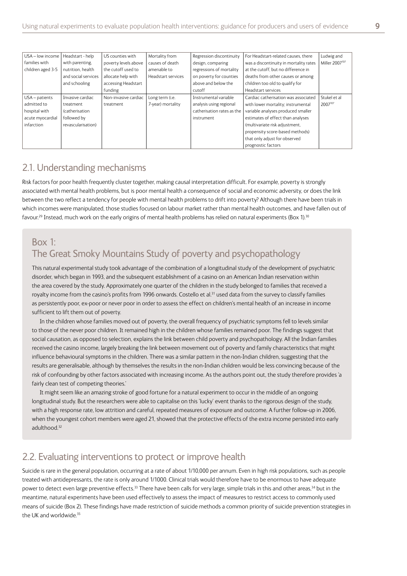<span id="page-8-0"></span>

| USA - low income  | Headstart - help      | US counties with     | Mortality from     | Regression discontinuity   | For Headstart-related causes, there    | Ludwig and                 |
|-------------------|-----------------------|----------------------|--------------------|----------------------------|----------------------------------------|----------------------------|
| families with     | with parenting.       | poverty levels above | causes of death    | design, comparing          | was a discontinuity in mortality rates | Miller 2007 <sup>107</sup> |
| children aged 3-5 | nutrition, health     | the cutoff used to   | amenable to        | regressions of mortality   | at the cutoff, but no difference in    |                            |
|                   | and social services   | allocate help with   | Headstart services | on poverty for counties    | deaths from other causes or among      |                            |
|                   | and schooling         | accessing Headstart  |                    | above and below the        | children too old to qualify for        |                            |
|                   |                       | funding              |                    | cutoff                     | Headstart services                     |                            |
| USA - patients    | Invasive cardiac      | Non-invasive cardiac | Long term (i.e.    | Instrumental variable      | Cardiac catherisation was associated   | Stukel et al               |
| admitted to       | treatment             | treatment            | 7-year) mortality  | analysis using regional    | with lower mortality; instrumental     | 2007107                    |
| hospital with     | <i>(catherisation</i> |                      |                    | catherisation rates as the | variable analyses produced smaller     |                            |
| acute myocardial  | followed by           |                      |                    | instrument                 | estimates of effect than analyses      |                            |
| infarction        | revascularisation)    |                      |                    |                            | (multivariate risk adjustment,         |                            |
|                   |                       |                      |                    |                            | propensity score-based methods)        |                            |
|                   |                       |                      |                    |                            | that only adjust for observed          |                            |
|                   |                       |                      |                    |                            | prognostic factors                     |                            |

#### 2.1. Understanding mechanisms

Risk factors for poor health frequently cluster together, making causal interpretation difficult. For example, poverty is strongly associated with mental health problems, but is poor mental health a consequence of social and economic adversity, or does the link between the two reflect a tendency for people with mental health problems to drift into poverty? Although there have been trials in which incomes were manipulated, those studies focused on labour market rather than mental health outcomes, and have fallen out of favour.<sup>29</sup> Instead, much work on the early origins of mental health problems has relied on natural experiments (Box 1).<sup>30</sup>

#### Box 1: The Great Smoky Mountains Study of poverty and psychopathology

This natural experimental study took advantage of the combination of a longitudinal study of the development of psychiatric disorder, which began in 1993, and the subsequent establishment of a casino on an American Indian reservation within the area covered by the study. Approximately one quarter of the children in the study belonged to families that received a royalty income from the casino's profits from 1996 onwards. Costello et al.<sup>31</sup> used data from the survey to classify families as persistently poor, ex-poor or never poor in order to assess the effect on children's mental health of an increase in income sufficient to lift them out of poverty.

In the children whose families moved out of poverty, the overall frequency of psychiatric symptoms fell to levels similar to those of the never poor children. It remained high in the children whose families remained poor. The findings suggest that social causation, as opposed to selection, explains the link between child poverty and psychopathology. All the Indian families received the casino income, largely breaking the link between movement out of poverty and family characteristics that might influence behavioural symptoms in the children. There was a similar pattern in the non-Indian children, suggesting that the results are generalisable, although by themselves the results in the non-Indian children would be less convincing because of the risk of confounding by other factors associated with increasing income. As the authors point out, the study therefore provides 'a fairly clean test of competing theories.'

It might seem like an amazing stroke of good fortune for a natural experiment to occur in the middle of an ongoing longitudinal study. But the researchers were able to capitalise on this 'lucky' event thanks to the rigorous design of the study, with a high response rate, low attrition and careful, repeated measures of exposure and outcome. A further follow-up in 2006, when the youngest cohort members were aged 21, showed that the protective effects of the extra income persisted into early adulthood. 32

#### 2.2. Evaluating interventions to protect or improve health

Suicide is rare in the general population, occurring at a rate of about 1/10,000 per annum. Even in high risk populations, such as people treated with antidepressants, the rate is only around 1/1000. Clinical trials would therefore have to be enormous to have adequate power to detect even large preventive effects.<sup>33</sup> There have been calls for very large, simple trials in this and other areas,<sup>34</sup> but in the meantime, natural experiments have been used effectively to assess the impact of measures to restrict access to commonly used means of suicide (Box 2). These findings have made restriction of suicide methods a common priority of suicide prevention strategies in the UK and worldwide. 35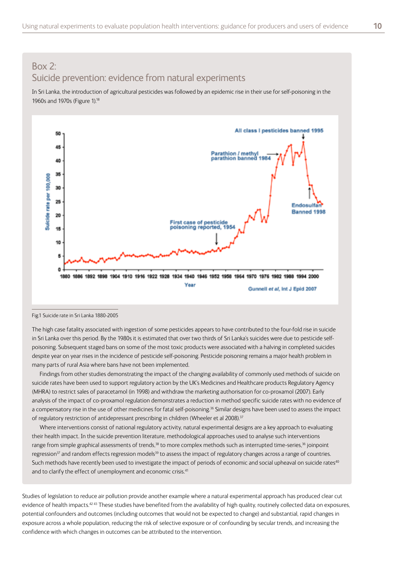In Sri Lanka, the introduction of agricultural pesticides was followed by an epidemic rise in their use for self-poisoning in the 1960s and 1970s (Figure 1). 18



#### Fig.1 Suicide rate in Sri Lanka 1880-2005

The high case fatality associated with ingestion of some pesticides appears to have contributed to the four-fold rise in suicide in Sri Lanka over this period. By the 1980s it is estimated that over two thirds of Sri Lanka's suicides were due to pesticide selfpoisoning. Subsequent staged bans on some of the most toxic products were associated with a halving in completed suicides despite year on year rises in the incidence of pesticide self-poisoning. Pesticide poisoning remains a major health problem in many parts of rural Asia where bans have not been implemented.

Findings from other studies demonstrating the impact of the changing availability of commonly used methods of suicide on suicide rates have been used to support regulatory action by the UK's Medicines and Healthcare products Regulatory Agency (MHRA) to restrict sales of paracetamol (in 1998) and withdraw the marketing authorisation for co-proxamol (2007). Early analysis of the impact of co-proxamol regulation demonstrates a reduction in method specific suicide rates with no evidence of a compensatory rise in the use of other medicines for fatal self-poisoning.<sup>36</sup> Similar designs have been used to assess the impact of regulatory restriction of antidepressant prescribing in children (Wheeler et al 2008).<sup>37</sup>

Where interventions consist of national regulatory activity, natural experimental designs are a key approach to evaluating their health impact. In the suicide prevention literature, methodological approaches used to analyse such interventions range from simple graphical assessments of trends,<sup>38</sup> to more complex methods such as interrupted time-series,<sup>36</sup> joinpoint regression<sup>37</sup> and random effects regression models<sup>39</sup> to assess the impact of regulatory changes across a range of countries. Such methods have recently been used to investigate the impact of periods of economic and social upheaval on suicide rates<sup>40</sup> and to clarify the effect of unemployment and economic crisis.<sup>41</sup>

Studies of legislation to reduce air pollution provide another example where a natural experimental approach has produced clear cut evidence of health impacts.<sup>4243</sup> These studies have benefited from the availability of high quality, routinely collected data on exposures, potential confounders and outcomes (including outcomes that would not be expected to change) and substantial, rapid changes in exposure across a whole population, reducing the risk of selective exposure or of confounding by secular trends, and increasing the confidence with which changes in outcomes can be attributed to the intervention.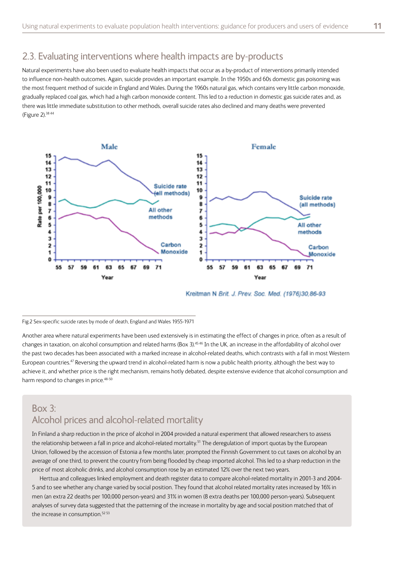#### <span id="page-10-0"></span>2.3. Evaluating interventions where health impacts are by-products

Natural experiments have also been used to evaluate health impacts that occur as a by-product of interventions primarily intended to influence non-health outcomes. Again, suicide provides an important example. In the 1950s and 60s domestic gas poisoning was the most frequent method of suicide in England and Wales. During the 1960s natural gas, which contains very little carbon monoxide, gradually replaced coal gas, which had a high carbon monoxide content. This led to a reduction in domestic gas suicide rates and, as there was little immediate substitution to other methods, overall suicide rates also declined and many deaths were prevented (Figure 2). 38 44



Kreitman N Brit. J. Prev. Soc. Med. (1976)30,86-93

Fig.2 Sex-specific suicide rates by mode of death, England and Wales 1955-1971

Another area where natural experiments have been used extensively is in estimating the effect of changes in price, often as a result of changes in taxation, on alcohol consumption and related harms (Box 3). 45 46 In the UK, an increase in the affordability of alcohol over the past two decades has been associated with a marked increase in alcohol-related deaths, which contrasts with a fall in most Western European countries. 47 Reversing the upward trend in alcohol-related harm is now a public health priority, although the best way to achieve it, and whether price is the right mechanism, remains hotly debated, despite extensive evidence that alcohol consumption and harm respond to changes in price.<sup>48-50</sup>

#### Box 3: Alcohol prices and alcohol-related mortality

In Finland a sharp reduction in the price of alcohol in 2004 provided a natural experiment that allowed researchers to assess the relationship between a fall in price and alcohol-related mortality.<sup>51</sup> The deregulation of import quotas by the European Union, followed by the accession of Estonia a few months later, prompted the Finnish Government to cut taxes on alcohol by an average of one third, to prevent the country from being flooded by cheap imported alcohol. This led to a sharp reduction in the price of most alcoholic drinks, and alcohol consumption rose by an estimated 12% over the next two years.

Herttua and colleagues linked employment and death register data to compare alcohol-related mortality in 2001-3 and 2004- 5 and to see whether any change varied by social position. They found that alcohol related mortality rates increased by 16% in men (an extra 22 deaths per 100,000 person-years) and 31% in women (8 extra deaths per 100,000 person-years). Subsequent analyses of survey data suggested that the patterning of the increase in mortality by age and social position matched that of the increase in consumption.<sup>52 53</sup>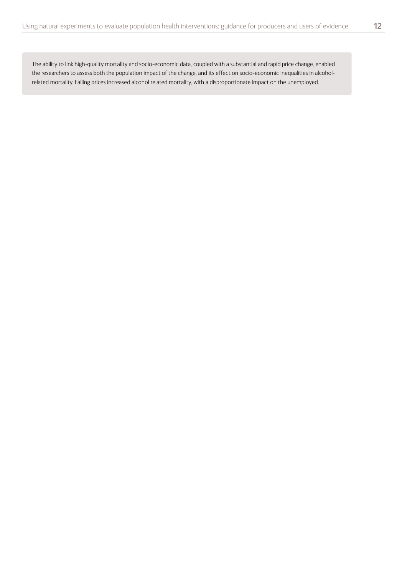The ability to link high-quality mortality and socio-economic data, coupled with a substantial and rapid price change, enabled the researchers to assess both the population impact of the change, and its effect on socio-economic inequalities in alcoholrelated mortality. Falling prices increased alcohol related mortality, with a disproportionate impact on the unemployed.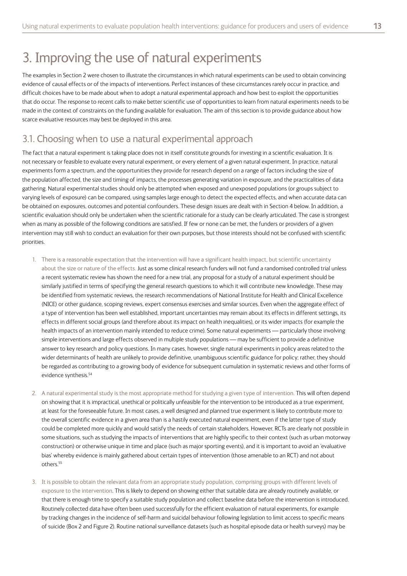# <span id="page-12-0"></span>3. Improving the use of natural experiments

The examples in Section 2 were chosen to illustrate the circumstances in which natural experiments can be used to obtain convincing evidence of causal effects or of the impacts of interventions. Perfect instances of these circumstances rarely occur in practice, and difficult choices have to be made about when to adopt a natural experimental approach and how best to exploit the opportunities that do occur. The response to recent calls to make better scientific use of opportunities to learn from natural experiments needs to be made in the context of constraints on the funding available for evaluation. The aim of this section is to provide guidance about how scarce evaluative resources may best be deployed in this area.

#### 3.1. Choosing when to use a natural experimental approach

The fact that a natural experiment is taking place does not in itself constitute grounds for investing in a scientific evaluation. It is not necessary or feasible to evaluate every natural experiment, or every element of a given natural experiment. In practice, natural experiments form a spectrum, and the opportunities they provide for research depend on a range of factors including the size of the population affected, the size and timing of impacts, the processes generating variation in exposure, and the practicalities of data gathering. Natural experimental studies should only be attempted when exposed and unexposed populations (or groups subject to varying levels of exposure) can be compared, using samples large enough to detect the expected effects, and when accurate data can be obtained on exposures, outcomes and potential confounders. These design issues are dealt with in Section 4 below. In addition, a scientific evaluation should only be undertaken when the scientific rationale for a study can be clearly articulated. The case is strongest when as many as possible of the following conditions are satisfied. If few or none can be met, the funders or providers of a given intervention may still wish to conduct an evaluation for their own purposes, but those interests should not be confused with scientific priorities.

- 1. There is a reasonable expectation that the intervention will have a significant health impact, but scientific uncertainty about the size or nature of the effects. Just as some clinical research funders will not fund a randomised controlled trial unless a recent systematic review has shown the need for a new trial, any proposal for a study of a natural experiment should be similarly justified in terms of specifying the general research questions to which it will contribute new knowledge. These may be identified from systematic reviews, the research recommendations of National Institute for Health and Clinical Excellence (NICE) or other guidance, scoping reviews, expert consensus exercises and similar sources. Even when the aggregate effect of a type of intervention has been well established, important uncertainties may remain about its effects in different settings, its effects in different social groups (and therefore about its impact on health inequalities), or its wider impacts (for example the health impacts of an intervention mainly intended to reduce crime). Some natural experiments — particularly those involving simple interventions and large effects observed in multiple study populations — may be sufficient to provide a definitive answer to key research and policy questions. In many cases, however, single natural experiments in policy areas related to the wider determinants of health are unlikely to provide definitive, unambiguous scientific guidance for policy; rather, they should be regarded as contributing to a growing body of evidence for subsequent cumulation in systematic reviews and other forms of evidence synthesis. 54
- 2. A natural experimental study is the most appropriate method for studying a given type of intervention. This will often depend on showing that it is impractical, unethical or politically unfeasible for the intervention to be introduced as a true experiment, at least for the foreseeable future. In most cases, a well designed and planned true experiment is likely to contribute more to the overall scientific evidence in a given area than is a hastily executed natural experiment, even if the latter type of study could be completed more quickly and would satisfy the needs of certain stakeholders. However, RCTs are clearly not possible in some situations, such as studying the impacts of interventions that are highly specific to their context (such as urban motorway construction) or otherwise unique in time and place (such as major sporting events), and it is important to avoid an 'evaluative bias' whereby evidence is mainly gathered about certain types of intervention (those amenable to an RCT) and not about others. 55
- 3. It is possible to obtain the relevant data from an appropriate study population, comprising groups with different levels of exposure to the intervention. This is likely to depend on showing either that suitable data are already routinely available, or that there is enough time to specify a suitable study population and collect baseline data before the intervention is introduced. Routinely collected data have often been used successfully for the efficient evaluation of natural experiments, for example by tracking changes in the incidence of self-harm and suicidal behaviour following legislation to limit access to specific means of suicide (Box 2 and Figure 2). Routine national surveillance datasets (such as hospital episode data or health surveys) may be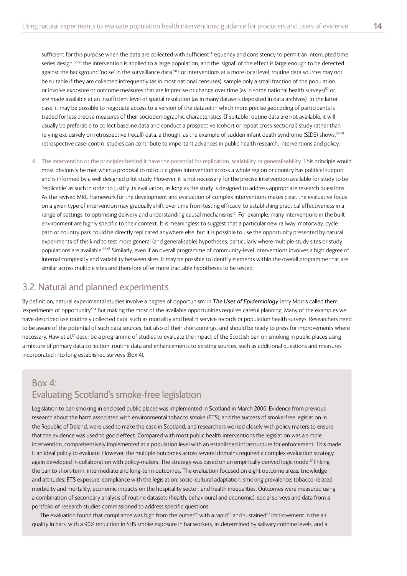<span id="page-13-0"></span>sufficient for this purpose when the data are collected with sufficient frequency and consistency to permit an interrupted time series design,<sup>5657</sup> the intervention is applied to a large population, and the 'signal' of the effect is large enough to be detected against the background 'noise' in the surveillance data.<sup>58</sup> For interventions at a more local level, routine data sources may not be suitable if they are collected infrequently (as in most national censuses), sample only a small fraction of the population, or involve exposure or outcome measures that are imprecise or change over time (as in some national health surveys)<sup>59</sup> or are made available at an insufficient level of spatial resolution (as in many datasets deposited in data archives). In the latter case, it may be possible to negotiate access to a version of the dataset in which more precise geocoding of participants is traded for less precise measures of their sociodemographic characteristics. If suitable routine data are not available, it will usually be preferable to collect baseline data and conduct a prospective (cohort or repeat cross-sectional) study rather than relying exclusively on retrospective (recall) data, although, as the example of sudden infant death syndrome (SIDS) shows,<sup>5460</sup> retrospective case-control studies can contribute to important advances in public health research, interventions and policy.

4. The intervention or the principles behind it have the potential for replication, scalability or generalisability. This principle would most obviously be met when a proposal to roll out a given intervention across a whole region or country has political support and is informed by a well designed pilot study. However, it is not necessary for the precise intervention available for study to be 'replicable' as such in order to justify its evaluation, as long as the study is designed to address appropriate research questions. As the revised MRC framework for the development and evaluation of complex interventions makes clear, the evaluative focus on a given type of intervention may gradually shift over time from testing efficacy, to establishing practical effectiveness in a range of settings, to optimising delivery and understanding causal mechanisms. 61 For example, many interventions in the built environment are highly specific to their context. It is meaningless to suggest that a particular new railway, motorway, cycle path or country park could be directly replicated anywhere else, but it is possible to use the opportunity presented by natural experiments of this kind to test more general (and generalisable) hypotheses, particularly where multiple study sites or study populations are available.<sup>6263</sup> Similarly, even if an overall programme of community-level interventions involves a high degree of internal complexity and variability between sites, it may be possible to identify elements within the overall programme that are similar across multiple sites and therefore offer more tractable hypotheses to be tested.

#### 3.2. Natural and planned experiments

By definition, natural experimental studies involve a degree of opportunism: in *The Uses of Epidemiology* Jerry Morris called them 'experiments of opportunity'.<sup>64</sup> But making the most of the available opportunities requires careful planning. Many of the examples we have described use routinely collected data, such as mortality and health service records or population health surveys. Researchers need to be aware of the potential of such data sources, but also of their shortcomings, and should be ready to press for improvements where necessary. Haw et al.<sup>17</sup> describe a programme of studies to evaluate the impact of the Scottish ban on smoking in public places using a mixture of primary data collection, routine data and enhancements to existing sources, such as additional questions and measures incorporated into long established surveys (Box 4).

### Box 4: Evaluating Scotland's smoke-free legislation

Legislation to ban smoking in enclosed public places was implemented in Scotland in March 2006. Evidence from previous research about the harm associated with environmental tobacco smoke (ETS), and the success of smoke-free legislation in the Republic of Ireland, were used to make the case in Scotland, and researchers worked closely with policy makers to ensure that the evidence was used to good effect. Compared with most public health interventions the legislation was a simple intervention, comprehensively implemented at a population level with an established infrastructure for enforcement. This made it an ideal policy to evaluate. However, the multiple outcomes across several domains required a complex evaluation strategy, again developed in collaboration with policy-makers. The strategy was based on an empirically derived logic model<sup>17</sup> linking the ban to short-term, intermediate and long-term outcomes. The evaluation focused on eight outcome areas: knowledge and attitudes; ETS exposure; compliance with the legislation; socio-cultural adaptation; smoking prevalence; tobacco-related morbidity and mortality; economic impacts on the hospitality sector; and health inequalities. Outcomes were measured using a combination of secondary analysis of routine datasets (health, behavioural and economic), social surveys and data from a portfolio of research studies commissioned to address specific questions.

The evaluation found that compliance was high from the outset<sup>65</sup> with a rapid<sup>66</sup> and sustained<sup>67</sup> improvement in the air quality in bars, with a 90% reduction in SHS smoke exposure in bar workers, as determined by salivary cotinine levels, and a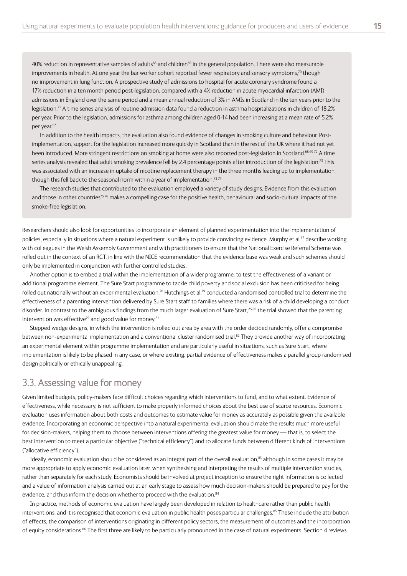<span id="page-14-0"></span>40% reduction in representative samples of adults<sup>68</sup> and children<sup>69</sup> in the general population. There were also measurable improvements in health. At one year the bar worker cohort reported fewer respiratory and sensory symptoms,<sup>70</sup> though no improvement in lung function. A prospective study of admissions to hospital for acute coronary syndrome found a 17% reduction in a ten month period post-legislation, compared with a 4% reduction in acute myocardial infarction (AMI) admissions in England over the same period and a mean annual reduction of 3% in AMIs in Scotland in the ten years prior to the legislation.<sup>71</sup> A time series analysis of routine admission data found a reduction in asthma hospitalizations in children of 18.2% per year. Prior to the legislation, admissions for asthma among children aged 0-14 had been increasing at a mean rate of 5.2% per year. 57

In addition to the health impacts, the evaluation also found evidence of changes in smoking culture and behaviour. Postimplementation, support for the legislation increased more quickly in Scotland than in the rest of the UK where it had not yet been introduced. More stringent restrictions on smoking at home were also reported post-legislation in Scotland.<sup>68 6972</sup> A time series analysis revealed that adult smoking prevalence fell by 2.4 percentage points after introduction of the legislation.<sup>73</sup> This was associated with an increase in uptake of nicotine replacement therapy in the three months leading up to implementation, though this fell back to the seasonal norm within a year of implementation.<sup>7374</sup>

The research studies that contributed to the evaluation employed a variety of study designs. Evidence from this evaluation and those in other countries<sup>75 76</sup> makes a compelling case for the positive health, behavioural and socio-cultural impacts of the smoke-free legislation.

Researchers should also look for opportunities to incorporate an element of planned experimentation into the implementation of policies, especially in situations where a natural experiment is unlikely to provide convincing evidence. Murphy et al.<sup>77</sup> describe working with colleagues in the Welsh Assembly Government and with practitioners to ensure that the National Exercise Referral Scheme was rolled out in the context of an RCT, in line with the NICE recommendation that the evidence base was weak and such schemes should only be implemented in conjunction with further controlled studies.

Another option is to embed a trial within the implementation of a wider programme, to test the effectiveness of a variant or additional programme element. The Sure Start programme to tackle child poverty and social exclusion has been criticised for being rolled out nationally without an experimental evaluation.<sup>78</sup> Hutchings et al.<sup>79</sup> conducted a randomised controlled trial to determine the effectiveness of a parenting intervention delivered by Sure Start staff to families where there was a risk of a child developing a conduct disorder. In contrast to the ambiguous findings from the much larger evaluation of Sure Start,<sup>2580</sup> the trial showed that the parenting intervention was effective<sup>79</sup> and good value for money.<sup>81</sup>

Stepped wedge designs, in which the intervention is rolled out area by area with the order decided randomly, offer a compromise between non-experimental implementation and a conventional cluster randomised trial. 82 They provide another way of incorporating an experimental element within programme implementation and are particularly useful in situations, such as Sure Start, where implementation is likely to be phased in any case, or where existing, partial evidence of effectiveness makes a parallel group randomised design politically or ethically unappealing.

#### 3.3. Assessing value for money

Given limited budgets, policy-makers face difficult choices regarding which interventions to fund, and to what extent. Evidence of effectiveness, while necessary, is not sufficient to make properly informed choices about the best use of scarce resources. Economic evaluation uses information about both costs and outcomes to estimate value for money as accurately as possible given the available evidence. Incorporating an economic perspective into a natural experimental evaluation should make the results much more useful for decision-makers, helping them to choose between interventions offering the greatest value for money — that is, to select the best intervention to meet a particular objective ("technical efficiency") and to allocate funds between different kinds of interventions ("allocative efficiency").

Ideally, economic evaluation should be considered as an integral part of the overall evaluation,<sup>83</sup> although in some cases it may be more appropriate to apply economic evaluation later, when synthesising and interpreting the results of multiple intervention studies, rather than separately for each study. Economists should be involved at project inception to ensure the right information is collected and a value of information analysis carried out at an early stage to assess how much decision-makers should be prepared to pay for the evidence, and thus inform the decision whether to proceed with the evaluation.<sup>84</sup>

In practice, methods of economic evaluation have largely been developed in relation to healthcare rather than public health interventions, and it is recognised that economic evaluation in public health poses particular challenges. 85 These include the attribution of effects, the comparison of interventions originating in different policy sectors, the measurement of outcomes and the incorporation of equity considerations.<sup>86</sup> The first three are likely to be particularly pronounced in the case of natural experiments. Section 4 reviews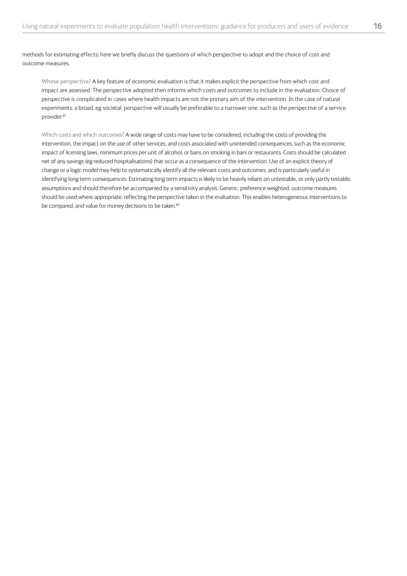methods for estimating effects; here we briefly discuss the questions of which perspective to adopt and the choice of cost and outcome measures.

Whose perspective? A key feature of economic evaluation is that it makes explicit the perspective from which cost and impact are assessed. The perspective adopted then informs which costs and outcomes to include in the evaluation. Choice of perspective is complicated in cases where health impacts are not the primary aim of the intervention. In the case of natural experiments, a broad, eg societal, perspective will usually be preferable to a narrower one, such as the perspective of a service provider. 87

Which costs and which outcomes? A wide range of costs may have to be considered, including the costs of providing the intervention, the impact on the use of other services, and costs associated with unintended consequences, such as the economic impact of licensing laws, minimum prices per unit of alcohol, or bans on smoking in bars or restaurants. Costs should be calculated net of any savings (eg reduced hospitalisations) that occur as a consequence of the intervention. Use of an explicit theory of change or a logic model may help to systematically identify all the relevant costs and outcomes, and is particularly useful in identifying long term consequences. Estimating long term impacts is likely to be heavily reliant on untestable, or only partly testable, assumptions and should therefore be accompanied by a sensitivity analysis. Generic, preference weighted, outcome measures should be used where appropriate, reflecting the perspective taken in the evaluation. This enables heterogeneous interventions to be compared, and value for money decisions to be taken.<sup>85</sup>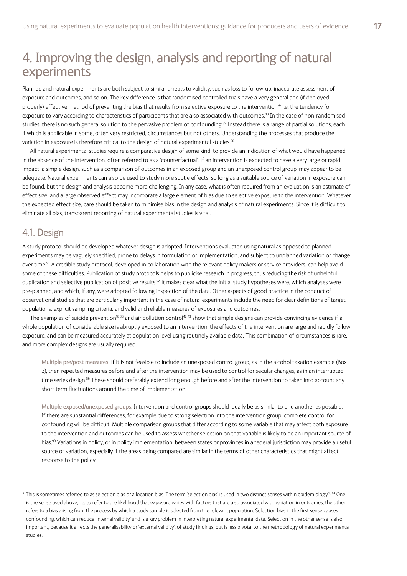# <span id="page-16-0"></span>4. Improving the design, analysis and reporting of natural experiments

Planned and natural experiments are both subject to similar threats to validity, such as loss to follow-up, inaccurate assessment of exposure and outcomes, and so on. The key difference is that randomised controlled trials have a very general and (if deployed properly) effective method of preventing the bias that results from selective exposure to the intervention,\* i.e. the tendency for exposure to vary according to characteristics of participants that are also associated with outcomes.<sup>88</sup> In the case of non-randomised studies, there is no such general solution to the pervasive problem of confounding.<sup>89</sup> Instead there is a range of partial solutions, each if which is applicable in some, often very restricted, circumstances but not others. Understanding the processes that produce the variation in exposure is therefore critical to the design of natural experimental studies.<sup>90</sup>

All natural experimental studies require a comparative design of some kind, to provide an indication of what would have happened in the absence of the intervention, often referred to as a 'counterfactual'. If an intervention is expected to have a very large or rapid impact, a simple design, such as a comparison of outcomes in an exposed group and an unexposed control group, may appear to be adequate. Natural experiments can also be used to study more subtle effects, so long as a suitable source of variation in exposure can be found, but the design and analysis become more challenging. In any case, what is often required from an evaluation is an estimate of effect size, and a large observed effect may incorporate a large element of bias due to selective exposure to the intervention. Whatever the expected effect size, care should be taken to minimise bias in the design and analysis of natural experiments. Since it is difficult to eliminate all bias, transparent reporting of natural experimental studies is vital.

#### 4.1. Design

A study protocol should be developed whatever design is adopted. Interventions evaluated using natural as opposed to planned experiments may be vaguely specified, prone to delays in formulation or implementation, and subject to unplanned variation or change over time.<sup>91</sup> A credible study protocol, developed in collaboration with the relevant policy makers or service providers, can help avoid some of these difficulties. Publication of study protocols helps to publicise research in progress, thus reducing the risk of unhelpful duplication and selective publication of positive results.<sup>92</sup> It makes clear what the initial study hypotheses were, which analyses were pre-planned, and which, if any, were adopted following inspection of the data. Other aspects of good practice in the conduct of observational studies that are particularly important in the case of natural experiments include the need for clear definitions of target populations, explicit sampling criteria, and valid and reliable measures of exposures and outcomes.

The examples of suicide prevention<sup>18 38</sup> and air pollution control<sup>42 43</sup> show that simple designs can provide convincing evidence if a whole population of considerable size is abruptly exposed to an intervention, the effects of the intervention are large and rapidly follow exposure, and can be measured accurately at population level using routinely available data. This combination of circumstances is rare, and more complex designs are usually required.

Multiple pre/post measures: If it is not feasible to include an unexposed control group, as in the alcohol taxation example (Box 3), then repeated measures before and after the intervention may be used to control for secular changes, as in an interrupted time series design. 56 These should preferably extend long enough before and after the intervention to taken into account any short term fluctuations around the time of implementation.

Multiple exposed/unexposed groups: Intervention and control groups should ideally be as similar to one another as possible. If there are substantial differences, for example due to strong selection into the intervention group, complete control for confounding will be difficult. Multiple comparison groups that differ according to some variable that may affect both exposure to the intervention and outcomes can be used to assess whether selection on that variable is likely to be an important source of bias. 90 Variations in policy, or in policy implementation, between states or provinces in a federal jurisdiction may provide a useful source of variation, especially if the areas being compared are similar in the terms of other characteristics that might affect response to the policy.

<sup>\*</sup> This is sometimes referred to as selection bias or allocation bias. The term 'selection bias' is used in two distinct senses within epidemiology. 15 84 One is the sense used above, i.e. to refer to the likelihood that exposure varies with factors that are also associated with variation in outcomes; the other refers to a bias arising from the process by which a study sample is selected from the relevant population. Selection bias in the first sense causes confounding, which can reduce 'internal validity' and is a key problem in interpreting natural experimental data. Selection in the other sense is also important, because it affects the generalisability or 'external validity', of study findings, but is less pivotal to the methodology of natural experimental studies.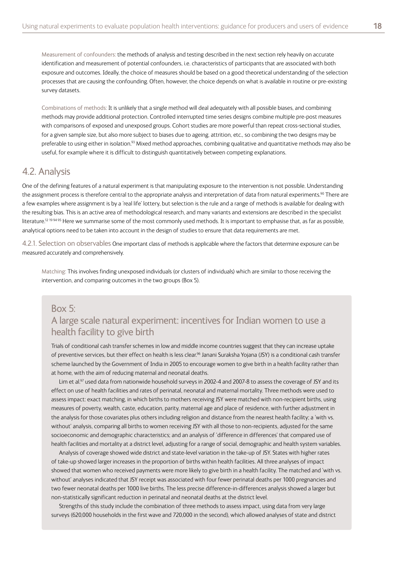<span id="page-17-0"></span>Measurement of confounders: the methods of analysis and testing described in the next section rely heavily on accurate identification and measurement of potential confounders, i.e. characteristics of participants that are associated with both exposure and outcomes. Ideally, the choice of measures should be based on a good theoretical understanding of the selection processes that are causing the confounding. Often, however, the choice depends on what is available in routine or pre-existing survey datasets.

Combinations of methods: It is unlikely that a single method will deal adequately with all possible biases, and combining methods may provide additional protection. Controlled interrupted time series designs combine multiple pre-post measures with comparisons of exposed and unexposed groups. Cohort studies are more powerful than repeat cross-sectional studies, for a given sample size, but also more subject to biases due to ageing, attrition, etc., so combining the two designs may be preferable to using either in isolation.<sup>93</sup> Mixed method approaches, combining qualitative and quantitative methods may also be useful, for example where it is difficult to distinguish quantitatively between competing explanations.

#### 4.2. Analysis

One of the defining features of a natural experiment is that manipulating exposure to the intervention is not possible. Understanding the assignment process is therefore central to the appropriate analysis and interpretation of data from natural experiments.<sup>90</sup> There are a few examples where assignment is by a 'real life' lottery, but selection is the rule and a range of methods is available for dealing with the resulting bias. This is an active area of methodological research, and many variants and extensions are described in the specialist literature.<sup>12 1994 95</sup> Here we summarise some of the most commonly used methods. It is important to emphasise that, as far as possible, analytical options need to be taken into account in the design of studies to ensure that data requirements are met.

4.2.1. Selection on observables One important class of methods is applicable where the factors that determine exposure can be measured accurately and comprehensively.

Matching: This involves finding unexposed individuals (or clusters of individuals) which are similar to those receiving the intervention, and comparing outcomes in the two groups (Box 5).

#### Box 5:

#### A large scale natural experiment: incentives for Indian women to use a health facility to give birth

Trials of conditional cash transfer schemes in low and middle income countries suggest that they can increase uptake of preventive services, but their effect on health is less clear.<sup>96</sup> Janani Suraksha Yojana (JSY) is a conditional cash transfer scheme launched by the Government of India in 2005 to encourage women to give birth in a health facility rather than at home, with the aim of reducing maternal and neonatal deaths.

Lim et al.<sup>97</sup> used data from nationwide household surveys in 2002-4 and 2007-8 to assess the coverage of JSY and its effect on use of health facilities and rates of perinatal, neonatal and maternal mortality. Three methods were used to assess impact: exact matching, in which births to mothers receiving JSY were matched with non-recipient births, using measures of poverty, wealth, caste, education, parity, maternal age and place of residence, with further adjustment in the analysis for those covariates plus others including religion and distance from the nearest health facility; a 'with vs. without' analysis, comparing all births to women receiving JSY with all those to non-recipients, adjusted for the same socioeconomic and demographic characteristics; and an analysis of 'difference in differences' that compared use of health facilities and mortality at a district level, adjusting for a range of social, demographic and health system variables.

Analysis of coverage showed wide district and state-level variation in the take-up of JSY. States with higher rates of take-up showed larger increases in the proportion of births within health facilities. All three analyses of impact showed that women who received payments were more likely to give birth in a health facility. The matched and 'with vs. without' analyses indicated that JSY receipt was associated with four fewer perinatal deaths per 1000 pregnancies and two fewer neonatal deaths per 1000 live births. The less precise difference-in-differences analysis showed a larger but non-statistically significant reduction in perinatal and neonatal deaths at the district level.

Strengths of this study include the combination of three methods to assess impact, using data from very large surveys (620,000 households in the first wave and 720,000 in the second), which allowed analyses of state and district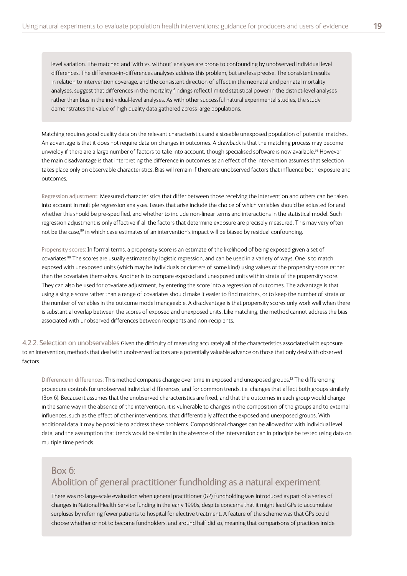<span id="page-18-0"></span>level variation. The matched and 'with vs. without' analyses are prone to confounding by unobserved individual level differences. The difference-in-differences analyses address this problem, but are less precise. The consistent results in relation to intervention coverage, and the consistent direction of effect in the neonatal and perinatal mortality analyses, suggest that differences in the mortality findings reflect limited statistical power in the district-level analyses rather than bias in the individual-level analyses. As with other successful natural experimental studies, the study demonstrates the value of high quality data gathered across large populations.

Matching requires good quality data on the relevant characteristics and a sizeable unexposed population of potential matches. An advantage is that it does not require data on changes in outcomes. A drawback is that the matching process may become unwieldy if there are a large number of factors to take into account, though specialised software is now available.<sup>98</sup> However the main disadvantage is that interpreting the difference in outcomes as an effect of the intervention assumes that selection takes place only on observable characteristics. Bias will remain if there are unobserved factors that influence both exposure and outcomes.

Regression adjustment: Measured characteristics that differ between those receiving the intervention and others can be taken into account in multiple regression analyses. Issues that arise include the choice of which variables should be adjusted for and whether this should be pre-specified, and whether to include non-linear terms and interactions in the statistical model. Such regression adjustment is only effective if all the factors that determine exposure are precisely measured. This may very often not be the case,<sup>89</sup> in which case estimates of an intervention's impact will be biased by residual confounding.

Propensity scores: In formal terms, a propensity score is an estimate of the likelihood of being exposed given a set of covariates. 99 The scores are usually estimated by logistic regression, and can be used in a variety of ways. One is to match exposed with unexposed units (which may be individuals or clusters of some kind) using values of the propensity score rather than the covariates themselves. Another is to compare exposed and unexposed units within strata of the propensity score. They can also be used for covariate adjustment, by entering the score into a regression of outcomes. The advantage is that using a single score rather than a range of covariates should make it easier to find matches, or to keep the number of strata or the number of variables in the outcome model manageable. A disadvantage is that propensity scores only work well when there is substantial overlap between the scores of exposed and unexposed units. Like matching, the method cannot address the bias associated with unobserved differences between recipients and non-recipients.

4.2.2. Selection on unobservables Given the difficulty of measuring accurately all of the characteristics associated with exposure to an intervention, methods that deal with unobserved factors are a potentially valuable advance on those that only deal with observed factors.

Difference in differences: This method compares change over time in exposed and unexposed groups.<sup>12</sup> The differencing procedure controls for unobserved individual differences, and for common trends, i.e. changes that affect both groups similarly (Box 6). Because it assumes that the unobserved characteristics are fixed, and that the outcomes in each group would change in the same way in the absence of the intervention, it is vulnerable to changes in the composition of the groups and to external influences, such as the effect of other interventions, that differentially affect the exposed and unexposed groups. With additional data it may be possible to address these problems. Compositional changes can be allowed for with individual level data, and the assumption that trends would be similar in the absence of the intervention can in principle be tested using data on multiple time periods.

#### Box 6: Abolition of general practitioner fundholding as a natural experiment

There was no large-scale evaluation when general practitioner (GP) fundholding was introduced as part of a series of changes in National Health Service funding in the early 1990s, despite concerns that it might lead GPs to accumulate surpluses by referring fewer patients to hospital for elective treatment. A feature of the scheme was that GPs could choose whether or not to become fundholders, and around half did so, meaning that comparisons of practices inside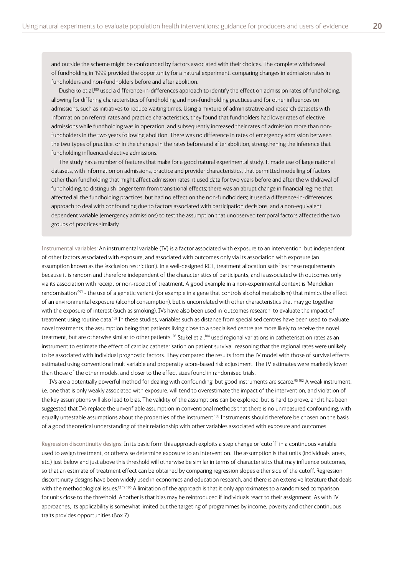and outside the scheme might be confounded by factors associated with their choices. The complete withdrawal of fundholding in 1999 provided the opportunity for a natural experiment, comparing changes in admission rates in fundholders and non-fundholders before and after abolition.

Dusheiko et al.<sup>100</sup> used a difference-in-differences approach to identify the effect on admission rates of fundholding, allowing for differing characteristics of fundholding and non-fundholding practices and for other influences on admissions, such as initiatives to reduce waiting times. Using a mixture of administrative and research datasets with information on referral rates and practice characteristics, they found that fundholders had lower rates of elective admissions while fundholding was in operation, and subsequently increased their rates of admission more than nonfundholders in the two years following abolition. There was no difference in rates of emergency admission between the two types of practice, or in the changes in the rates before and after abolition, strengthening the inference that fundholding influenced elective admissions.

The study has a number of features that make for a good natural experimental study. It made use of large national datasets, with information on admissions, practice and provider characteristics, that permitted modelling of factors other than fundholding that might affect admission rates; it used data for two years before and after the withdrawal of fundholding, to distinguish longer term from transitional effects; there was an abrupt change in financial regime that affected all the fundholding practices, but had no effect on the non-fundholders; it used a difference-in-differences approach to deal with confounding due to factors associated with participation decisions, and a non-equivalent dependent variable (emergency admissions) to test the assumption that unobserved temporal factors affected the two groups of practices similarly.

Instrumental variables: An instrumental variable (IV) is a factor associated with exposure to an intervention, but independent of other factors associated with exposure, and associated with outcomes only via its association with exposure (an assumption known as the 'exclusion restriction'). In a well-designed RCT, treatment allocation satisfies these requirements because it is random and therefore independent of the characteristics of participants, and is associated with outcomes only via its association with receipt or non-receipt of treatment. A good example in a non-experimental context is 'Mendelian randomisation'<sup>101</sup> - the use of a genetic variant (for example in a gene that controls alcohol metabolism) that mimics the effect of an environmental exposure (alcohol consumption), but is uncorrelated with other characteristics that may go together with the exposure of interest (such as smoking). IVs have also been used in 'outcomes research' to evaluate the impact of treatment using routine data.<sup>102</sup> In these studies, variables such as distance from specialised centres have been used to evaluate novel treatments, the assumption being that patients living close to a specialised centre are more likely to receive the novel treatment, but are otherwise similar to other patients.<sup>103</sup> Stukel et al.<sup>104</sup> used regional variations in catheterisation rates as an instrument to estimate the effect of cardiac catheterisation on patient survival, reasoning that the regional rates were unlikely to be associated with individual prognostic factors. They compared the results from the IV model with those of survival effects estimated using conventional multivariable and propensity score-based risk adjustment. The IV estimates were markedly lower than those of the other models, and closer to the effect sizes found in randomised trials.

IVs are a potentially powerful method for dealing with confounding, but good instruments are scarce. 95 102 A weak instrument, i.e. one that is only weakly associated with exposure, will tend to overestimate the impact of the intervention, and violation of the key assumptions will also lead to bias. The validity of the assumptions can be explored, but is hard to prove, and it has been suggested that IVs replace the unverifiable assumption in conventional methods that there is no unmeasured confounding, with equally untestable assumptions about the properties of the instrument.<sup>105</sup> Instruments should therefore be chosen on the basis of a good theoretical understanding of their relationship with other variables associated with exposure and outcomes.

Regression discontinuity designs: In its basic form this approach exploits a step change or 'cutoff' in a continuous variable used to assign treatment, or otherwise determine exposure to an intervention. The assumption is that units (individuals, areas, etc.) just below and just above this threshold will otherwise be similar in terms of characteristics that may influence outcomes, so that an estimate of treatment effect can be obtained by comparing regression slopes either side of the cutoff. Regression discontinuity designs have been widely used in economics and education research, and there is an extensive literature that deals with the methodological issues.<sup>12 19 106</sup> A limitation of the approach is that it only approximates to a randomised comparison for units close to the threshold. Another is that bias may be reintroduced if individuals react to their assignment. As with IV approaches, its applicability is somewhat limited but the targeting of programmes by income, poverty and other continuous traits provides opportunities (Box 7).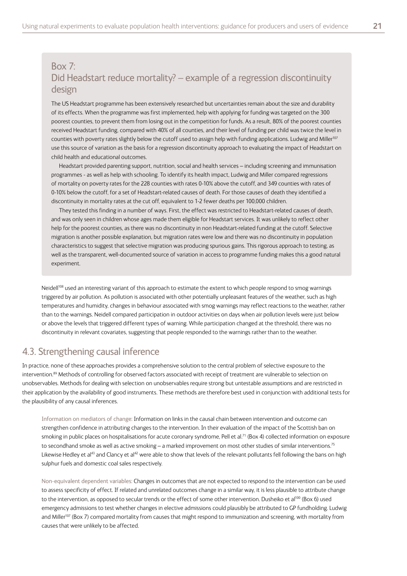#### <span id="page-20-0"></span>Box 7: Did Headstart reduce mortality? – example of a regression discontinuity design

The US Headstart programme has been extensively researched but uncertainties remain about the size and durability of its effects. When the programme was first implemented, help with applying for funding was targeted on the 300 poorest counties, to prevent them from losing out in the competition for funds. As a result, 80% of the poorest counties received Headstart funding, compared with 40% of all counties, and their level of funding per child was twice the level in counties with poverty rates slightly below the cutoff used to assign help with funding applications. Ludwig and Miller<sup>107</sup> use this source of variation as the basis for a regression discontinuity approach to evaluating the impact of Headstart on child health and educational outcomes.

Headstart provided parenting support, nutrition, social and health services – including screening and immunisation programmes - as well as help with schooling. To identify its health impact, Ludwig and Miller compared regressions of mortality on poverty rates for the 228 counties with rates 0-10% above the cutoff, and 349 counties with rates of 0-10% below the cutoff, for a set of Headstart-related causes of death. For those causes of death they identified a discontinuity in mortality rates at the cut off, equivalent to 1-2 fewer deaths per 100,000 children.

They tested this finding in a number of ways. First, the effect was restricted to Headstart-related causes of death, and was only seen in children whose ages made them eligible for Headstart services. It was unlikely to reflect other help for the poorest counties, as there was no discontinuity in non Headstart-related funding at the cutoff. Selective migration is another possible explanation, but migration rates were low and there was no discontinuity in population characteristics to suggest that selective migration was producing spurious gains. This rigorous approach to testing, as well as the transparent, well-documented source of variation in access to programme funding makes this a good natural experiment.

Neidell<sup>108</sup> used an interesting variant of this approach to estimate the extent to which people respond to smog warnings triggered by air pollution. As pollution is associated with other potentially unpleasant features of the weather, such as high temperatures and humidity, changes in behaviour associated with smog warnings may reflect reactions to the weather, rather than to the warnings. Neidell compared participation in outdoor activities on days when air pollution levels were just below or above the levels that triggered different types of warning. While participation changed at the threshold, there was no discontinuity in relevant covariates, suggesting that people responded to the warnings rather than to the weather.

#### 4.3. Strengthening causal inference

In practice, none of these approaches provides a comprehensive solution to the central problem of selective exposure to the intervention.<sup>89</sup> Methods of controlling for observed factors associated with receipt of treatment are vulnerable to selection on unobservables. Methods for dealing with selection on unobservables require strong but untestable assumptions and are restricted in their application by the availability of good instruments. These methods are therefore best used in conjunction with additional tests for the plausibility of any causal inferences.

Information on mediators of change: Information on links in the causal chain between intervention and outcome can strengthen confidence in attributing changes to the intervention. In their evaluation of the impact of the Scottish ban on smoking in public places on hospitalisations for acute coronary syndrome, Pell et al. 71 (Box 4) collected information on exposure to secondhand smoke as well as active smoking — a marked improvement on most other studies of similar interventions.<sup>75</sup> Likewise Hedley et al<sup>43</sup> and Clancy et al<sup>42</sup> were able to show that levels of the relevant pollutants fell following the bans on high sulphur fuels and domestic coal sales respectively.

Non-equivalent dependent variables: Changes in outcomes that are not expected to respond to the intervention can be used to assess specificity of effect. If related and unrelated outcomes change in a similar way, it is less plausible to attribute change to the intervention, as opposed to secular trends or the effect of some other intervention. Dusheiko et al<sup>100</sup> (Box 6) used emergency admissions to test whether changes in elective admissions could plausibly be attributed to GP fundholding. Ludwig and Miller<sup>107</sup> (Box 7) compared mortality from causes that might respond to immunization and screening, with mortality from causes that were unlikely to be affected.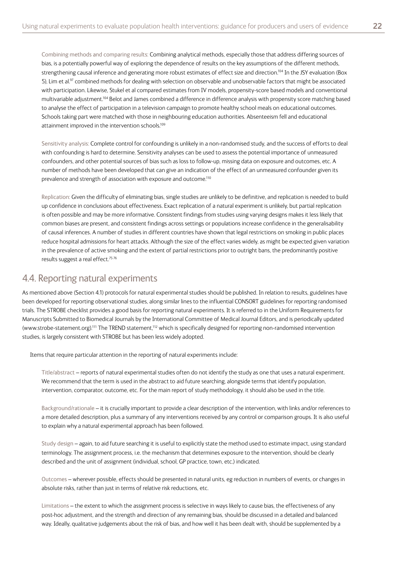<span id="page-21-0"></span>Combining methods and comparing results: Combining analytical methods, especially those that address differing sources of bias, is a potentially powerful way of exploring the dependence of results on the key assumptions of the different methods, strengthening causal inference and generating more robust estimates of effect size and direction. 104 In the JSY evaluation (Box 5), Lim et al.<sup>97</sup> combined methods for dealing with selection on observable and unobservable factors that might be associated with participation. Likewise, Stukel et al compared estimates from IV models, propensity-score based models and conventional multivariable adjustment.<sup>104</sup> Belot and James combined a difference in difference analysis with propensity score matching based to analyse the effect of participation in a television campaign to promote healthy school meals on educational outcomes. Schools taking part were matched with those in neighbouring education authorities. Absenteeism fell and educational attainment improved in the intervention schools.<sup>109</sup>

Sensitivity analysis: Complete control for confounding is unlikely in a non-randomised study, and the success of efforts to deal with confounding is hard to determine. Sensitivity analyses can be used to assess the potential importance of unmeasured confounders, and other potential sources of bias such as loss to follow-up, missing data on exposure and outcomes, etc. A number of methods have been developed that can give an indication of the effect of an unmeasured confounder given its prevalence and strength of association with exposure and outcome.<sup>110</sup>

Replication: Given the difficulty of eliminating bias, single studies are unlikely to be definitive, and replication is needed to build up confidence in conclusions about effectiveness. Exact replication of a natural experiment is unlikely, but partial replication is often possible and may be more informative. Consistent findings from studies using varying designs makes it less likely that common biases are present, and consistent findings across settings or populations increase confidence in the generalisability of causal inferences. A number of studies in different countries have shown that legal restrictions on smoking in public places reduce hospital admissions for heart attacks. Although the size of the effect varies widely, as might be expected given variation in the prevalence of active smoking and the extent of partial restrictions prior to outright bans, the predominantly positive results suggest a real effect.<sup>75 76</sup>

#### 4.4. Reporting natural experiments

As mentioned above (Section 4.1) protocols for natural experimental studies should be published. In relation to results, guidelines have been developed for reporting observational studies, along similar lines to the influential CONSORT guidelines for reporting randomised trials. The STROBE checklist provides a good basis for reporting natural experiments. It is referred to in the Uniform Requirements for Manuscripts Submitted to Biomedical Journals by the International Committee of Medical Journal Editors, and is periodically updated (www.strobe-statement.org).<sup>111</sup> The TREND statement,<sup>112</sup> which is specifically designed for reporting non-randomised intervention studies, is largely consistent with STROBE but has been less widely adopted.

Items that require particular attention in the reporting of natural experiments include:

Title/abstract – reports of natural experimental studies often do not identify the study as one that uses a natural experiment. We recommend that the term is used in the abstract to aid future searching, alongside terms that identify population, intervention, comparator, outcome, etc. For the main report of study methodology, it should also be used in the title.

Background/rationale – it is crucially important to provide a clear description of the intervention, with links and/or references to a more detailed description, plus a summary of any interventions received by any control or comparison groups. It is also useful to explain why a natural experimental approach has been followed.

Study design – again, to aid future searching it is useful to explicitly state the method used to estimate impact, using standard terminology. The assignment process, i.e. the mechanism that determines exposure to the intervention, should be clearly described and the unit of assignment (individual, school, GP practice, town, etc.) indicated.

Outcomes – wherever possible, effects should be presented in natural units, eg reduction in numbers of events, or changes in absolute risks, rather than just in terms of relative risk reductions, etc.

Limitations – the extent to which the assignment process is selective in ways likely to cause bias, the effectiveness of any post-hoc adjustment, and the strength and direction of any remaining bias, should be discussed in a detailed and balanced way. Ideally, qualitative judgements about the risk of bias, and how well it has been dealt with, should be supplemented by a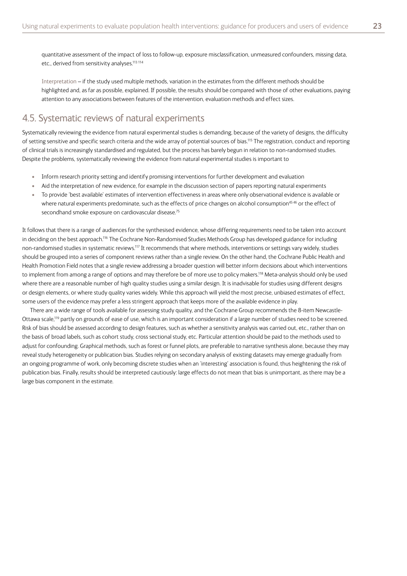<span id="page-22-0"></span>Interpretation – if the study used multiple methods, variation in the estimates from the different methods should be highlighted and, as far as possible, explained. If possible, the results should be compared with those of other evaluations, paying attention to any associations between features of the intervention, evaluation methods and effect sizes.

#### 4.5. Systematic reviews of natural experiments

Systematically reviewing the evidence from natural experimental studies is demanding, because of the variety of designs, the difficulty of setting sensitive and specific search criteria and the wide array of potential sources of bias.<sup>115</sup> The registration, conduct and reporting of clinical trials is increasingly standardised and regulated, but the process has barely begun in relation to non-randomised studies. Despite the problems, systematically reviewing the evidence from natural experimental studies is important to

- Inform research priority setting and identify promising interventions for further development and evaluation
- Aid the interpretation of new evidence, for example in the discussion section of papers reporting natural experiments
- To provide 'best available' estimates of intervention effectiveness in areas where only observational evidence is available or where natural experiments predominate, such as the effects of price changes on alcohol consumption<sup>45 46</sup> or the effect of secondhand smoke exposure on cardiovascular disease. 75

It follows that there is a range of audiences for the synthesised evidence, whose differing requirements need to be taken into account in deciding on the best approach.<sup>116</sup> The Cochrane Non-Randomised Studies Methods Group has developed guidance for including non-randomised studies in systematic reviews.<sup>117</sup> It recommends that where methods, interventions or settings vary widely, studies should be grouped into a series of component reviews rather than a single review. On the other hand, the Cochrane Public Health and Health Promotion Field notes that a single review addressing a broader question will better inform decisions about which interventions to implement from among a range of options and may therefore be of more use to policy makers. 118 Meta-analysis should only be used where there are a reasonable number of high quality studies using a similar design. It is inadvisable for studies using different designs or design elements, or where study quality varies widely. While this approach will yield the most precise, unbiased estimates of effect, some users of the evidence may prefer a less stringent approach that keeps more of the available evidence in play.

There are a wide range of tools available for assessing study quality, and the Cochrane Group recommends the 8-item Newcastle-Ottawa scale,119 partly on grounds of ease of use, which is an important consideration if a large number of studies need to be screened. Risk of bias should be assessed according to design features, such as whether a sensitivity analysis was carried out, etc., rather than on the basis of broad labels, such as cohort study, cross sectional study, etc. Particular attention should be paid to the methods used to adjust for confounding. Graphical methods, such as forest or funnel plots, are preferable to narrative synthesis alone, because they may reveal study heterogeneity or publication bias. Studies relying on secondary analysis of existing datasets may emerge gradually from an ongoing programme of work, only becoming discrete studies when an 'interesting' association is found, thus heightening the risk of publication bias. Finally, results should be interpreted cautiously: large effects do not mean that bias is unimportant, as there may be a large bias component in the estimate.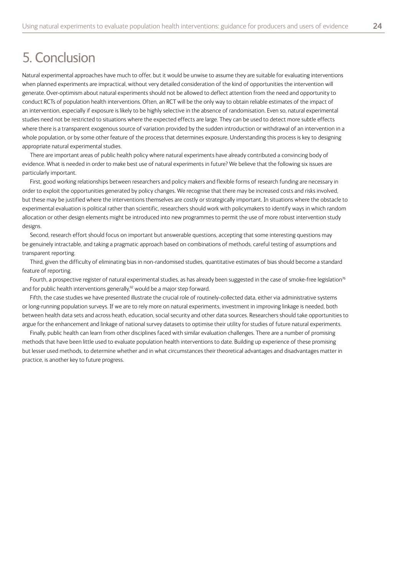# <span id="page-23-0"></span>5. Conclusion

Natural experimental approaches have much to offer, but it would be unwise to assume they are suitable for evaluating interventions when planned experiments are impractical, without very detailed consideration of the kind of opportunities the intervention will generate. Over-optimism about natural experiments should not be allowed to deflect attention from the need and opportunity to conduct RCTs of population health interventions. Often, an RCT will be the only way to obtain reliable estimates of the impact of an intervention, especially if exposure is likely to be highly selective in the absence of randomisation. Even so, natural experimental studies need not be restricted to situations where the expected effects are large. They can be used to detect more subtle effects where there is a transparent exogenous source of variation provided by the sudden introduction or withdrawal of an intervention in a whole population, or by some other feature of the process that determines exposure. Understanding this process is key to designing appropriate natural experimental studies.

There are important areas of public health policy where natural experiments have already contributed a convincing body of evidence. What is needed in order to make best use of natural experiments in future? We believe that the following six issues are particularly important.

First, good working relationships between researchers and policy makers and flexible forms of research funding are necessary in order to exploit the opportunities generated by policy changes. We recognise that there may be increased costs and risks involved, but these may be justified where the interventions themselves are costly or strategically important. In situations where the obstacle to experimental evaluation is political rather than scientific, researchers should work with policymakers to identify ways in which random allocation or other design elements might be introduced into new programmes to permit the use of more robust intervention study designs.

Second, research effort should focus on important but answerable questions, accepting that some interesting questions may be genuinely intractable, and taking a pragmatic approach based on combinations of methods, careful testing of assumptions and transparent reporting.

Third, given the difficulty of eliminating bias in non-randomised studies, quantitative estimates of bias should become a standard feature of reporting.

Fourth, a prospective register of natural experimental studies, as has already been suggested in the case of smoke-free legislation<sup>76</sup> and for public health interventions generally,<sup>92</sup> would be a major step forward.

Fifth, the case studies we have presented illustrate the crucial role of routinely-collected data, either via administrative systems or long-running population surveys. If we are to rely more on natural experiments, investment in improving linkage is needed, both between health data sets and across heath, education, social security and other data sources. Researchers should take opportunities to argue for the enhancement and linkage of national survey datasets to optimise their utility for studies of future natural experiments.

Finally, public health can learn from other disciplines faced with similar evaluation challenges. There are a number of promising methods that have been little used to evaluate population health interventions to date. Building up experience of these promising but lesser used methods, to determine whether and in what circumstances their theoretical advantages and disadvantages matter in practice, is another key to future progress.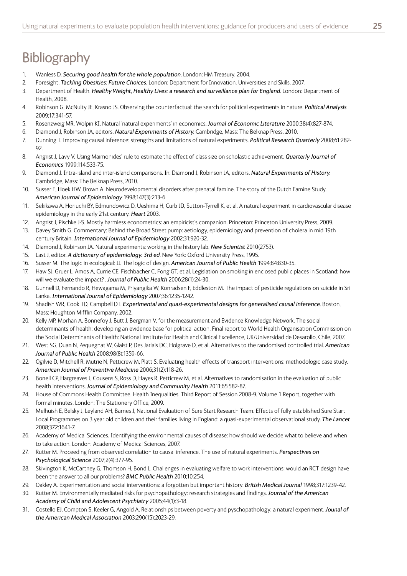# <span id="page-24-0"></span>**Bibliography**

- 1. Wanless D. *Securing good health for the whole population*. London: HM Treasury, 2004.
- 2. Foresight. *Tackling Obesities: Future Choices*. London: Department for Innovation, Universities and Skills, 2007.
- 3. Department of Health. *Healthy Weight, Healthy Lives: a research and surveillance plan for England*. London: Department of Health, 2008.
- 4. Robinson G, McNulty JE, Krasno JS. Observing the counterfactual: the search for political experiments in nature. *Political Analysis* 2009;17:341-57.
- 5. Rosenzweig MR, Wolpin KI. Natural 'natural experiments' in economics. *Journal of Economic Literature* 2000;38(4):827-874.
- 6. Diamond J, Robinson JA, editors. *Natural Experiments of History*. Cambridge, Mass: The Belknap Press, 2010.
- 7. Dunning T. Improving causal inference: strengths and limitations of natural experiments. *Political Research Quarterly* 2008;61:282- 92.
- 8. Angrist J, Lavy V. Using Maimonides' rule to estimate the effect of class size on scholastic achievement. *Quarterly Journal of Economics* 1999;114:533-75.
- 9. Diamond J. Intra-island and inter-island comparisons. In: Diamond J, Robinson JA, editors. *Natural Experiments of History*. Cambridge, Mass: The Belknap Press, 2010.
- 10. Susser E, Hoek HW, Brown A. Neurodevelopmental disorders after prenatal famine. The story of the Dutch Famine Study. *American Journal of Epidemiology* 1998;147(3):213-6.
- 11. Sekikawa A, Horiuchi BY, Edmundowicz D, Ueshima H, Curb JD, Sutton-Tyrrell K, et al. A natural experiment in cardiovascular disease epidemiology in the early 21st century. *Heart* 2003.
- 12. Angrist J, Pischke J-S. Mostly harmless econometrics: an empiricist's companion. Princeton: Princeton University Press, 2009.
- 13. Davey Smith G. Commentary: Behind the Broad Street pump: aetiology, epidemiology and prevention of cholera in mid 19th century Britain. *International Journal of Epidemiology* 2002;31:920-32.
- 14. Diamond J, Robinson JA. Natural experiments: working in the history lab. *New Scientist* 2010(2753).
- 15. Last J, editor. *A dictionary of epidemiology. 3rd ed*. New York: Oxford University Press, 1995.
- 16. Susser M. The logic in ecological: II. The logic of design. *American Journal of Public Health* 1994;84:830-35.
- 17. Haw SJ, Gruer L, Amos A, Currie CE, Fischbacher C, Fong GT, et al. Legislation on smoking in enclosed public places in Scotland: how will we evaluate the impact? . *Journal of Public Health* 2006;28(1):24-30.
- 18. Gunnell D, Fernando R, Hewagama M, Priyangika W, Konradsen F, Eddleston M. The impact of pesticide regulations on suicide in Sri Lanka. *International Journal of Epidemiology* 2007;36:1235-1242.
- 19. Shadish WR, Cook TD, Campbell DT. *Experimental and quasi-experimental designs for generalised causal inference*. Boston, Mass: Houghton Mifflin Company, 2002.
- 20. Kelly MP, Morhan A, Bonnefoy J, Butt J, Bergman V, for the measurement and Evidence Knowledge Network. The social determinants of health: developing an evidence base for political action. Final report to World Health Organisation Commission on the Social Determinants of Health: National Institute for Health and Clinical Excellence, UK/Universidad de Desarollo, Chile, 2007.
- 21. West SG, Duan N, Pequegnat W, Glaist P, Des Jarlais DC, Holgrave D, et al. Alternatives to the randomised controlled trial. *American Journal of Public Health* 2008;98(8):1359-66.
- 22. Ogilvie D, Mitchell R, Mutrie N, Petticrew M, Platt S. Evaluating health effects of transport interventions: methodologic case study. *American Journal of Preventive Medicine* 2006;31(2):118-26.
- 23. Bonell CP, Hargreaves J, Cousens S, Ross D, Hayes R, Petticrew M, et al. Alternatives to randomisation in the evaluation of public health interventions. *Journal of Epidemiology and Community Health* 2011;65:582-87.
- 24. House of Commons Health Committee. Health Inequalities. Third Report of Session 2008-9. Volume 1 Report, together with formal minutes. London: The Stationery Office, 2009.
- 25. Melhuish E, Belsky J, Leyland AH, Barnes J, National Evaluation of Sure Start Research Team. Effects of fully established Sure Start Local Programmes on 3 year old children and their families living in England: a quasi-experimental observational study. *The Lancet* 2008;372:1641-7.
- 26. Academy of Medical Sciences. Identifying the environmental causes of disease: how should we decide what to believe and when to take action. London: Academy of Medical Sciences, 2007.
- 27. Rutter M. Proceeding from observed correlation to causal inference. The use of natural experiments. *Perspectives on Psychological Science* 2007;2(4):377-95.
- 28. Skivington K, McCartney G, Thomson H, Bond L. Challenges in evaluating welfare to work interventions: would an RCT design have been the answer to all our problems? *BMC Public Health* 2010;10:254.
- 29. Oakley A. Experimentation and social interventions: a forgotten but important history. *British Medical Journal* 1998;317:1239-42.
- 30. Rutter M. Environmentally mediated risks for psychopathology: research strategies and findings. *Journal of the American Academy of Child and Adolescent Psychiatry* 2005;44(1):3-18.
- 31. Costello EJ, Compton S, Keeler G, Angold A. Relationships between poverty and pyschopathology: a natural experiment. *Jounal of the American Medical Association* 2003;290(15):2023-29.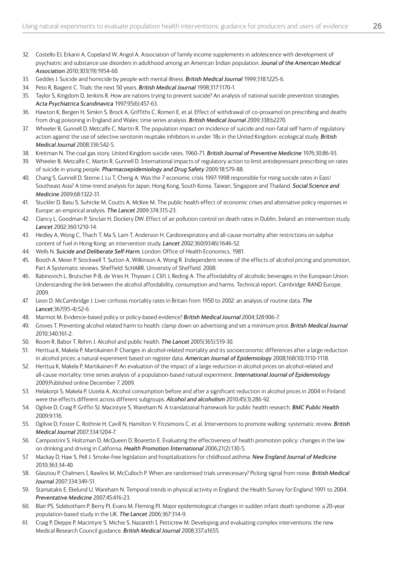- 32. Costello EJ, Erkanii A, Copeland W, Angol A. Association of family income supplements in adolescence with development of psychiatric and substance use disorders in adulthood among an American Indian population. *Jounal of the American Medical Association* 2010;303(19):1954-60.
- 33. Geddes J. Suicide and homicide by people with mental illness. *British Medical Journal* 1999;318:1225-6.
- 34. Peto R, Baigent C. Trials: the next 50 years. *British Medical Journal* 1998;317:1170-1.
- 35. Taylor S, Kingdom D, Jenkins R. How are nations trying to prevent suicide? An analysis of national suicide prevention strategies. *Acta Psychiatrica Scandinavica* 1997;95(6):457-63.
- 36. Hawton K, Bergen H, Simkin S, Brock A, Griffiths C, Romeri E, et al. Effect of withdrawal of co-proxamol on prescribing and deaths from drug poisoning in England and Wales: time series analysis. *British Medical Journal* 2009;338:b2270.
- 37. Wheeler B, Gunnell D, Metcalfe C, Martin R. The population impact on incidence of suicide and non-fatal self harm of regulatory action against the use of selective serotonin reuptake inhibitors in under 18s in the United Kingdom: ecological study. *British Medical Journal* 2008;336:542-5.
- 38. Kreitman N. The coal gas story. United Kingdom suicide rates, 1960-71. *British Journal of Preventive Medicine* 1976;30:86-93.
- 39. Wheeler B, Metcalfe C, Martin R, Gunnell D. International impacts of regulatory action to limit antidepressant prescribing on rates of suicide in young people. *Pharmacoepidemiology and Drug Safety* 2009;18:579-88.
- 40. Chang S, Gunnell D, Sterne J, Lu T, Cheng A. Was the 7 economic crisis 1997-1998 responsible for rising suicide rates in East/ Southeast Asia? A time-trend analysis for Japan, Hong Kong, South Korea, Taiwan, Singapore and Thailand. *Social Science and Medicine* 2009;68:1322-31.
- 41. Stuckler D, Basu S, Suhrcke M, Coutts A, McKee M. The public health effect of economic crises and alternative policy responses in Europe: an empirical analysis. *The Lancet* 2009;374:315-23.
- 42. Clancy L, Goodman P, Sinclair H, Dockery DW. Effect of air pollution control on death rates in Dublin, Ireland: an intervention study. *Lancet* 2002;360:1210-14.
- 43. Hedley A, Wong C, Thach T, Ma S, Lam T, Anderson H. Cardiorespiratory and all-cause mortality after restrictions on sulphur content of fuel in Hong Kong: an intervention study. *Lancet* 2002;360(9346):1646-52.
- 44. Wells N. *Suicide and Deliberate Self-Harm*. London: Office of Health Economics, 1981.
- 45. Booth A, Meier P, Stockwell T, Sutton A, Wilkinson A, Wong R. Independent review of the effects of alcohol pricing and promotion. Part A Systematic reviews. Sheffield: ScHARR, University of Sheffield, 2008.
- 46. Rabinovich L, Brutscher P-B, de Vries H, Thyssen J, Clift J, Reding A. The affordability of alcoholic beverages in the European Union. Understanding the link between the alcohol affordability, consumption and harms. Technical report. Cambridge: RAND Europe, 2009.
- 47. Leon D, McCambridge J. Liver cirrhosis mortality rates in Britain from 1950 to 2002: an analysis of routine data. *The Lancet*;367(95-4):52-6.
- 48. Marmot M. Evidence-based policy or policy-based evidence? *British Medical Journal* 2004;328:906-7.
- 49. Groves T. Preventing alcohol related harm to health: clamp down on advertising and set a minimum price. *British Medical Journal* 2010;340:161-2.
- 50. Room R, Babor T, Rehm J. Alcohol and public health. *The Lancet* 2005(365):519-30.
- 51. Herttua K, Makela P, Martikainen P. Changes in alcohol-related mortality and its socioeconomic differences after a large reduction in alcohol prices: a natural experiment based on register data. *American Journal of Epidemiology* 2008;168(10):1110-1118.
- 52. Herttua K, Makela P, Martikainen P. An evaluation of the impact of a large reduction in alcohol prices on alcohol-related and all-cause mortality: time series analysis of a population-based natural experiment. *International Journal of Epidemiology* 2009;Published online December 7, 2009.
- 53. Helakorpi S, Makela P, Uutela A. Alcohol consumption before and after a significant reduction in alcohol prices in 2004 in Finland: were the effects different across different subgroups. *Alcohol and alcoholism* 2010;45(3):286-92.
- 54. Ogilvie D, Craig P, Griffin SJ, Macintyre S, Wareham N. A translational framework for public health research. *BMC Public Health* 2009;9:116.
- 55. Ogilvie D, Foster C, Rothnie H, Cavill N, Hamilton V, Fitzsimons C, et al. Interventions to promote walking: systematic review. *British Medical Journal* 2007;334:1204-7.
- 56. Campostrini S, Holtzman D, McQueen D, Boaretto E. Evaluating the effectiveness of health promotion policy: changes in the law on drinking and driving in California. *Health Promotion International* 2006;21(2):130-5.
- 57. Mackay D, Haw S, Pell J. Smoke-free legislation and hospitalizations for childhood asthma. *New England Journal of Medicine* 2010;363:34-40.
- 58. Glasziou P, Chalmers I, Rawlins M, McCulloch P. When are randomised trials unnecessary? Picking signal from noise. *British Medical Journal* 2007;334:349-51.
- 59. Stamatakis E, Ekelund U, Wareham N. Temporal trends in physical activity in England: the Health Survey for England 1991 to 2004. *Preventative Medicine* 2007;45:416-23.
- 60. Blair PS, Sidebotham P, Berry PJ, Evans M, Fleming PJ. Major epidemiological changes in sudden infant death syndrome: a 20-year population-based study in the UK. *The Lancet* 2006;367:314-9.
- 61. Craig P, Dieppe P, Macintyre S, Michie S, Nazareth I, Petticrew M. Developing and evaluating complex interventions: the new Medical Research Council guidance. *British Medical Journal* 2008;337:a1655.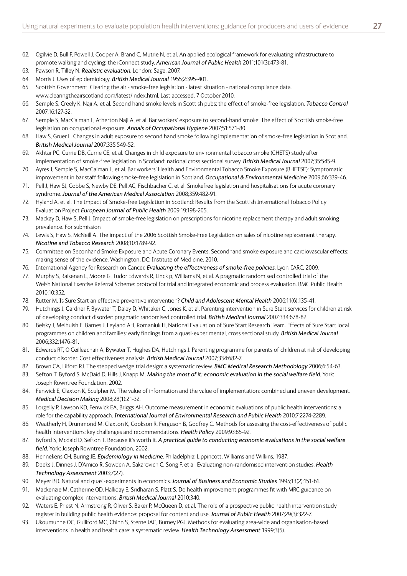- 62. Ogilvie D, Bull F, Powell J, Cooper A, Brand C, Mutrie N, et al. An applied ecological framework for evaluating infrastructure to promote walking and cycling: the iConnect study. *American Journal of Public Health* 2011;101(3):473-81.
- 63. Pawson R, Tilley N. *Realistic evaluation*. London: Sage, 2007.
- 64. Morris J. Uses of epidemiology. *British Medical Journal* 1955;2:395-401.
- 65. Scottish Government. Clearing the air smoke-free legislation latest situation national compliance data. www.clearingtheairscotland.com/latest/index.html. Last accessed, 7 October 2010.
- 66. Semple S, Creely K, Naji A, et al. Second hand smoke levels in Scottish pubs: the effect of smoke-free legislation. *Tobacco Control* 2007;16:127-32.
- 67. Semple S, MacCalman L, Atherton Naji A, et al. Bar workers' exposure to second-hand smoke: The effect of Scottish smoke-free legislation on occupational exposure. *Annals of Occupational Hygiene* 2007;51:571-80.
- 68. Haw S, Gruer L. Changes in adult exposure to second hand smoke following implementation of smoke-free legislation in Scotland. *British Medical Journal* 2007;335:549-52.
- 69. Akhtar PC, Currie DB, Currie CE, et al. Changes in child exposure to environmental tobacco smoke (CHETS) study after implementation of smoke-free legislation in Scotland: national cross sectional survey. *British Medical Journal* 2007;35:545-9.
- 70. Ayres J, Semple S, MacCalman L, et al. Bar workers' Health and Environmental Tobacco Smoke Exposure (BHETSE): Symptomatic improvement in bar staff following smoke-free legislation in Scotland. *Occupational & Environmental Medicine* 2009;66:339-46.
- 71. Pell J, Haw SJ, Cobbe S, Newby DE, Pell AC, Fischbacher C, et al. Smokefree legislation and hospitalisations for acute coronary syndrome. *Journal of the American Medical Association* 2008;359:482-91.
- 72. Hyland A, et al. The Impact of Smoke-free Legislation in Scotland: Results from the Scottish International Tobacco Policy Evaluation Project *European Journal of Public Health* 2009;19:198-205.
- 73. Mackay D, Haw S, Pell J. Impact of smoke-free legislation on prescriptions for nicotine replacement therapy and adult smoking prevalence. For submission
- 74. Lewis S, Haw S, McNeill A. The impact of the 2006 Scottish Smoke-Free Legislation on sales of nicotine replacement therapy. *Nicotine and Tobacco Research* 2008;10:1789-92.
- 75. Committee on Seconhand Smoke Exposure and Acute Coronary Events. Secondhand smoke exposure and cardiovascular effects: making sense of the evidence. Washington, DC: Institute of Medicine, 2010.
- 76. International Agency for Research on Cancer. *Evaluating the effectiveness of smoke-free policies*. Lyon: IARC, 2009.
- 77. Murphy S, Raisenan L, Moore G, Tudor Edwards R, Linck p, Williams N, et al. A pragmatic randomised controlled trial of the Welsh National Exercise Referral Scheme: protocol for trial and integrated economic and process evaluation. BMC Public Health 2010;10:352.
- 78. Rutter M. Is Sure Start an effective preventive intervention? *Child and Adolescent Mental Health* 2006;11(6):135-41.
- 79. Hutchings J, Gardner F, Bywater T, Daley D, Whitaker C, Jones K, et al. Parenting intervention in Sure Start services for children at risk of developing conduct disorder: pragmatic randomised controlled trial. *British Medical Journal* 2007;334:678-82.
- 80. Belsky J, Melhuish E, Barnes J, Leyland AH, Romaniuk H, National Evaluation of Sure Start Research Team. Effects of Sure Start local programmes on children and families: early findings from a quasi-experimental, cross sectional study. *British Medical Journal* 2006;332:1476-81.
- 81. Edwards RT, O Ceilleachair A, Bywater T, Hughes DA, Hutchings J. Parenting programme for parents of children at risk of developing conduct disorder. Cost effectiveness analysis. *British Medical Journal* 2007;334:682-7.
- 82. Brown CA, Lilford RJ. The stepped wedge trial design: a systematic review. *BMC Medical Research Methodology* 2006;6:54-63.
- 83. Sefton T, Byford S, McDaid D, Hills J, Knapp M. *Making the most of it: economic evaluation in the social welfare field*. York: Joseph Rowntree Foundation, 2002.
- 84. Fenwick E, Claxton K, Sculpher M. The value of information and the value of implementation: combined and uneven development. *Medical Decision Making* 2008;28(1):21-32.
- 85. Lorgelly P, Lawson KD, Fenwick EA, Briggs AH. Outcome measurement in economic evaluations of public health interventions: a role for the capability approach. *International Journal of Environmental Research and Public Health* 2010;7:2274-2289.
- 86. Weatherly H, Drummond M, Claxton K, Cookson R, Ferguson B, Godfrey C. Methods for assessing the cost-effectiveness of public health interventions: key challenges and recommendations. *Health Policy* 2009;93:85-92.
- 87. Byford S, Mcdaid D, Sefton T. Because it's worth it. *A practical guide to conducting economic evaluations in the social welfare field*. York: Joseph Rowntree Foundation, 2002.
- 88. Hennekens CH, Buring JE. *Epidemiology in Medicine*. Philadelphia: Lippincott, Williams and Wilkins, 1987.
- 89. Deeks J, Dinnes J, D'Amico R, Sowden A, Sakarovich C, Song F, et al. Evaluating non-randomised intervention studies. *Health Technology Assessment* 2003;7(27).
- 90. Meyer BD. Natural and quasi-experiments in economics. *Journal of Business and Economic Studies* 1995;13(2):151-61.
- 91. Mackenzie M, Catherine OD, Halliday E, Sridharan S, Platt S. Do health improvement programmes fit with MRC guidance on evaluating complex interventions. *British Medical Journal* 2010;340.
- 92. Waters E, Priest N, Armstrong R, Oliver S, Baker P, McQueen D, et al. The role of a prospective public health intervention study register in building public health evidence: proposal for content and use. *Journal of Public Health* 2007;29(3):322-7.
- 93. Ukoumunne OC, Gulliford MC, Chinn S, Sterne JAC, Burney PGJ. Methods for evaluating area-wide and organisation-based interventions in health and health care: a systematic review. *Health Technology Assessment* 1999;3(5).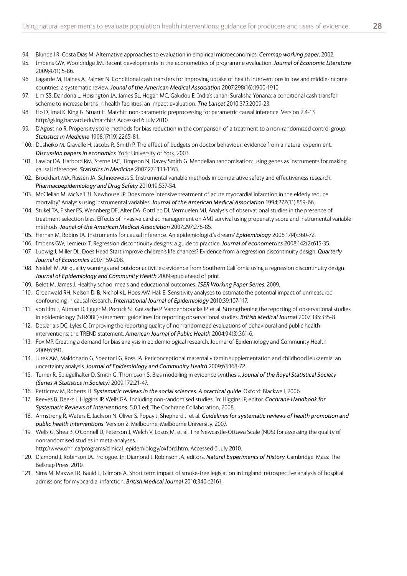- 94. Blundell R, Costa Dias M. Alternative approaches to evaluation in empirical microeconomics. *Cemmap working paper*, 2002.
- 95. Imbens GW, Wooldridge JM. Recent developments in the econometrics of programme evaluation. *Journal of Economic Literature*  2009;47(1):5-86.
- 96. Lagarde M, Haines A, Palmer N. Conditional cash transfers for improving uptake of health interventions in low and middle-income countries: a systematic review. *Jounal of the American Medical Association* 2007;298(16):1900-1910.
- 97. Lim SS, Dandona L, Hoisington JA, James SL, Hogan MC, Gakidou E. India's Janani Suraksha Yonana: a conditional cash transfer scheme to increase births in health facilities: an impact evaluation. *The Lancet* 2010;375:2009-23.
- 98. Ho D, Imai K, King G, Stuart E. Matchit: non-parametric preprocessing for parametric causal inference. Version 2.4-13. http://gking.harvard.edu/matchit/. Accessed 6 July 2010.
- 99. D'Agostino R. Propensity score methods for bias reduction in the comparison of a treatment to a non-randomized control group. *Statistics in Medicine* 1998;17(19):2265-81.
- 100. Dusheiko M, Gravelle H, Jacobs R, Smith P. The effect of budgets on doctor behaviour: evidence from a natural experiment. *Discussion papers in economics*. York: University of York, 2003.
- 101. Lawlor DA, Harbord RM, Sterne JAC, Timpson N, Davey Smith G. Mendelian randomisation: using genes as instruments for making causal inferences. *Statistics in Medicine* 2007;27:1133-1163.
- 102. Brookhart MA, Rassen JA, Schneeweiss S. Instrumental variable methods in comparative safety and effectiveness research. *Pharmacoepidemiology and Drug Safety* 2010;19:537-54.
- 103. McClellan M, McNeil BJ, Newhouse JP. Does more intensive treatment of acute myocardial infarction in the elderly reduce mortality? Analysis using instrumental variables. *Journal of the American Medical Association* 1994;272(11):859-66.
- 104. Stukel TA, Fisher ES, Wennberg DE, Alter DA, Gottlieb DJ, Vermuelen MJ. Analysis of observational studies in the presence of treatment selection bias. Effects of invasive cardiac management on AMI survival using propensity score and instrumental variable methods. *Jounal of the American Medical Association* 2007;297:278-85.
- 105. Hernan M, Robins JA. Instruments for causal inference. An epidemiologist's dream? *Epidemiology* 2006;17(4):360-72.
- 106. Imbens GW, Lemieux T. Regression discontinuity designs: a guide to practice. *Journal of econometrics* 2008;142(2):615-35.
- 107. Ludwig J, Miller DL. Does Head Start improve children's life chances? Evidence from a regression discontinuity design. *Quarterly Journal of Economics* 2007:159-208.
- 108. Neidell M. Air quality warnings and outdoor activities: evidence from Southern California using a regression discontinuity design. *Journal of Epidemiology and Community Health* 2009;epub ahead of print.
- 109. Belot M, James J. Healthy school meals and educational outcomes. *ISER Working Paper Series*, 2009.
- 110. Groenwald RH, Nelson D, B, Nichol KL, Hoes AW, Hak E. Sensitivity analyses to estimate the potential impact of unmeasured confounding in causal research. *International Journal of Epidemiology* 2010;39:107-117.
- 111. von Elm E, Altman D, Egger M, Pocock SJ, Gotzsche P, Vandenbroucke JP, et al. Strengthening the reporting of observational studies in epidemiology (STROBE) statement: guidelines for reporting observational studies. *British Medical Journal* 2007;335:335-8.
- 112. DesJarlais DC, Lyles C. Improving the reporting quality of nonrandomized evaluations of behavioural and public health interventions: the TREND statement. *American Journal of Public Health* 2004;94(3):361-6.
- 113. Fox MP. Creating a demand for bias analysis in epidemiological research. Journal of Epidemiology and Community Health 2009;63:91.
- 114. Jurek AM, Maldonado G, Spector LG, Ross JA. Periconceptional maternal vitamin supplementation and childhood leukaemia: an uncertainty analysis. *Journal of Epidemiology and Community Health* 2009;63:168-72.
- 115. Turner R, Spiegelhalter D, Smith G, Thompson S. Bias modelling in evidence synthesis. *Jounal of the Royal Statistical Society (Series A Statistics in Society)* 2009;172:21-47.
- 116. Petticrew M, Roberts H. *Systematic reviews in the social sciences. A practical guide*. Oxford: Blackwell, 2006.
- 117. Reeves B, Deeks J, Higgins JP, Wells GA. Including non-randomised studies. In: Higgins JP, editor. *Cochrane Handbook for Systematic Reviews of Interventions*. 5.0.1 ed: The Cochrane Collaboration, 2008.
- 118. Armstrong R, Waters E, Jackson N, Oliver S, Popay J, Shepherd J, et al. *Guidelines for systematic reviews of health promotion and public health interventions*. Version 2. Melbourne: Melbourne University, 2007.
- 119. Wells G, Shea B, O'Connell D, Peterson J, Welch V, Losos M, et al. The Newcastle-Ottawa Scale (NOS) for assessing the quality of nonrandomised studies in meta-analyses.

http://www.ohri.ca/programs/clinical\_epidemiology/oxford.htm. Accessed 6 July 2010.

- 120. Diamond J, Robinson JA. Prologue. In: Diamond J, Robinson JA, editors. *Natural Experiments of History*. Cambridge, Mass: The Belknap Press, 2010.
- 121. Sims M, Maxwell R, Bauld L, Gilmore A. Short term impact of smoke-free legislation in England: retrospective analysis of hospital admissions for myocardial infarction. *British Medical Journal* 2010;340:c2161.